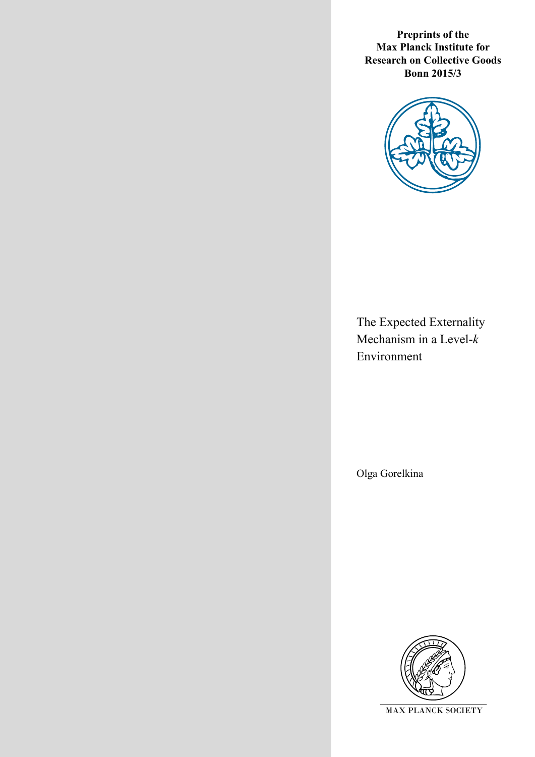**Preprints of the Max Planck Institute for Research on Collective Goods Bonn 2015/3**



The Expected Externality Mechanism in a Level-*k*  Environment

Olga Gorelkina

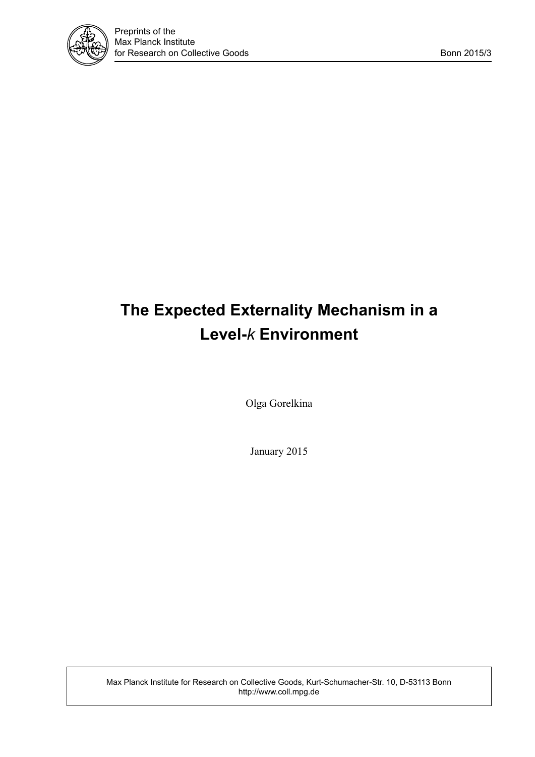

# **The Expected Externality Mechanism in a Level-***k* **Environment**

Olga Gorelkina

January 2015

Max Planck Institute for Research on Collective Goods, Kurt-Schumacher-Str. 10, D-53113 Bonn http://www.coll.mpg.de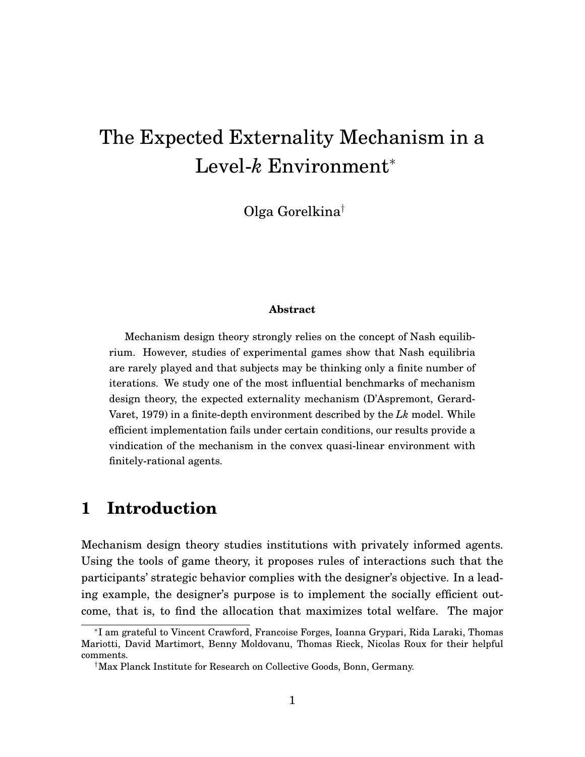# The Expected Externality Mechanism in a Level-*k* Environment<sup>∗</sup>

Olga Gorelkina†

#### **Abstract**

Mechanism design theory strongly relies on the concept of Nash equilibrium. However, studies of experimental games show that Nash equilibria are rarely played and that subjects may be thinking only a finite number of iterations. We study one of the most influential benchmarks of mechanism design theory, the expected externality mechanism (D'Aspremont, Gerard-Varet, 1979) in a finite-depth environment described by the *Lk* model. While efficient implementation fails under certain conditions, our results provide a vindication of the mechanism in the convex quasi-linear environment with finitely-rational agents.

### **1 Introduction**

Mechanism design theory studies institutions with privately informed agents. Using the tools of game theory, it proposes rules of interactions such that the participants' strategic behavior complies with the designer's objective. In a leading example, the designer's purpose is to implement the socially efficient outcome, that is, to find the allocation that maximizes total welfare. The major

<sup>∗</sup> I am grateful to Vincent Crawford, Francoise Forges, Ioanna Grypari, Rida Laraki, Thomas Mariotti, David Martimort, Benny Moldovanu, Thomas Rieck, Nicolas Roux for their helpful comments.

<sup>†</sup>Max Planck Institute for Research on Collective Goods, Bonn, Germany.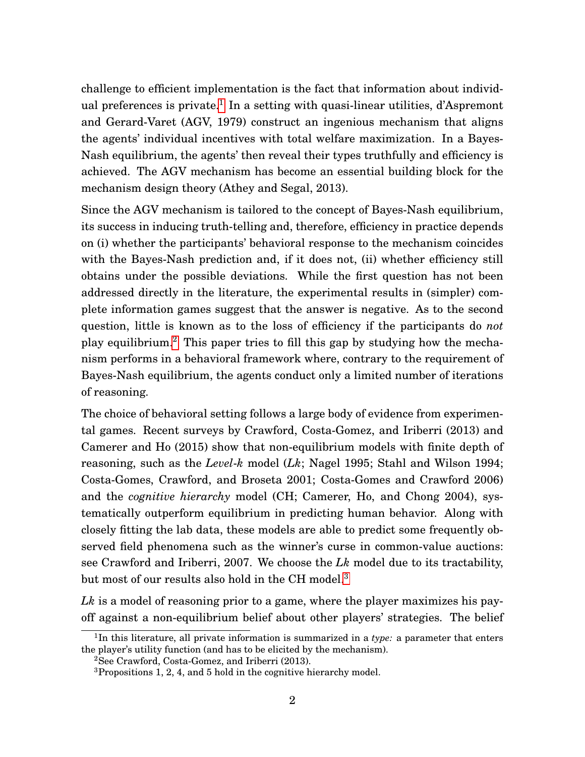challenge to efficient implementation is the fact that information about individ-ual preferences is private.<sup>[1](#page-3-0)</sup> In a setting with quasi-linear utilities, d'Aspremont and Gerard-Varet (AGV, 1979) construct an ingenious mechanism that aligns the agents' individual incentives with total welfare maximization. In a Bayes-Nash equilibrium, the agents' then reveal their types truthfully and efficiency is achieved. The AGV mechanism has become an essential building block for the mechanism design theory (Athey and Segal, 2013).

Since the AGV mechanism is tailored to the concept of Bayes-Nash equilibrium, its success in inducing truth-telling and, therefore, efficiency in practice depends on (i) whether the participants' behavioral response to the mechanism coincides with the Bayes-Nash prediction and, if it does not, (ii) whether efficiency still obtains under the possible deviations. While the first question has not been addressed directly in the literature, the experimental results in (simpler) complete information games suggest that the answer is negative. As to the second question, little is known as to the loss of efficiency if the participants do *not* play equilibrium.[2](#page-3-1) This paper tries to fill this gap by studying how the mechanism performs in a behavioral framework where, contrary to the requirement of Bayes-Nash equilibrium, the agents conduct only a limited number of iterations of reasoning.

The choice of behavioral setting follows a large body of evidence from experimental games. Recent surveys by Crawford, Costa-Gomez, and Iriberri (2013) and Camerer and Ho (2015) show that non-equilibrium models with finite depth of reasoning, such as the *Level*-*k* model (*Lk*; Nagel 1995; Stahl and Wilson 1994; Costa-Gomes, Crawford, and Broseta 2001; Costa-Gomes and Crawford 2006) and the *cognitive hierarchy* model (CH; Camerer, Ho, and Chong 2004), systematically outperform equilibrium in predicting human behavior. Along with closely fitting the lab data, these models are able to predict some frequently observed field phenomena such as the winner's curse in common-value auctions: see Crawford and Iriberri, 2007. We choose the *Lk* model due to its tractability, but most of our results also hold in the CH model.<sup>[3](#page-3-2)</sup>

*Lk* is a model of reasoning prior to a game, where the player maximizes his payoff against a non-equilibrium belief about other players' strategies. The belief

<span id="page-3-0"></span><sup>&</sup>lt;sup>1</sup>In this literature, all private information is summarized in a *type*: a parameter that enters the player's utility function (and has to be elicited by the mechanism).

<span id="page-3-1"></span><sup>2</sup>See Crawford, Costa-Gomez, and Iriberri (2013).

<span id="page-3-2"></span><sup>3</sup>Propositions 1, 2, 4, and 5 hold in the cognitive hierarchy model.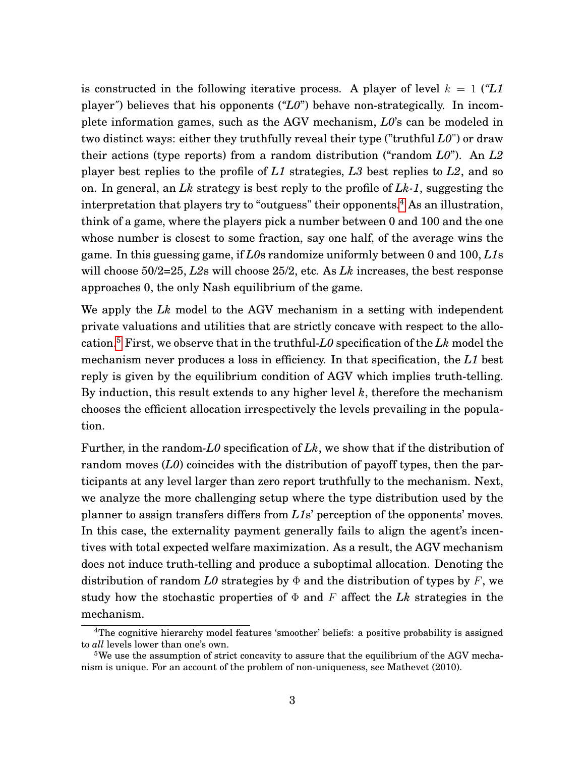is constructed in the following iterative process. A player of level  $k = 1$  (*"L1* player*"*) believes that his opponents (*"L0*") behave non-strategically. In incomplete information games, such as the AGV mechanism, *L0*'s can be modeled in two distinct ways: either they truthfully reveal their type ("truthful *L0*") or draw their actions (type reports) from a random distribution ("random *L0*"). An *L2* player best replies to the profile of *L1* strategies, *L3* best replies to *L2*, and so on. In general, an *Lk* strategy is best reply to the profile of *Lk-1*, suggesting the interpretation that players try to "outguess" their opponents.<sup>[4](#page-4-0)</sup> As an illustration, think of a game, where the players pick a number between 0 and 100 and the one whose number is closest to some fraction, say one half, of the average wins the game. In this guessing game, if *L0*s randomize uniformly between 0 and 100, *L1*s will choose 50/2=25, *L2*s will choose 25/2, etc. As *Lk* increases, the best response approaches 0, the only Nash equilibrium of the game.

We apply the *Lk* model to the AGV mechanism in a setting with independent private valuations and utilities that are strictly concave with respect to the allocation.[5](#page-4-1) First, we observe that in the truthful-*L0* specification of the *Lk* model the mechanism never produces a loss in efficiency. In that specification, the *L1* best reply is given by the equilibrium condition of AGV which implies truth-telling. By induction, this result extends to any higher level *k*, therefore the mechanism chooses the efficient allocation irrespectively the levels prevailing in the population.

Further, in the random*-L0* specification of *Lk*, we show that if the distribution of random moves (*L0*) coincides with the distribution of payoff types, then the participants at any level larger than zero report truthfully to the mechanism. Next, we analyze the more challenging setup where the type distribution used by the planner to assign transfers differs from *L1*s' perception of the opponents' moves. In this case, the externality payment generally fails to align the agent's incentives with total expected welfare maximization. As a result, the AGV mechanism does not induce truth-telling and produce a suboptimal allocation. Denoting the distribution of random *L0* strategies by  $\Phi$  and the distribution of types by F, we study how the stochastic properties of  $\Phi$  and  $F$  affect the *Lk* strategies in the mechanism.

<span id="page-4-0"></span><sup>4</sup>The cognitive hierarchy model features 'smoother' beliefs: a positive probability is assigned to *all* levels lower than one's own.

<span id="page-4-1"></span><sup>&</sup>lt;sup>5</sup>We use the assumption of strict concavity to assure that the equilibrium of the AGV mechanism is unique. For an account of the problem of non-uniqueness, see Mathevet (2010).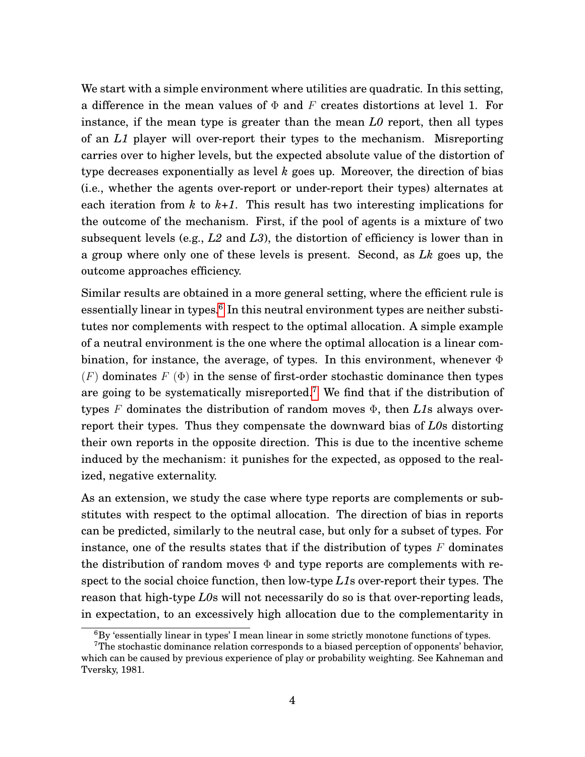We start with a simple environment where utilities are quadratic. In this setting, a difference in the mean values of  $\Phi$  and F creates distortions at level 1. For instance, if the mean type is greater than the mean *L0* report, then all types of an *L1* player will over-report their types to the mechanism. Misreporting carries over to higher levels, but the expected absolute value of the distortion of type decreases exponentially as level *k* goes up. Moreover, the direction of bias (i.e., whether the agents over-report or under-report their types) alternates at each iteration from  $k$  to  $k+1$ . This result has two interesting implications for the outcome of the mechanism. First, if the pool of agents is a mixture of two subsequent levels (e.g., *L2* and *L3*), the distortion of efficiency is lower than in a group where only one of these levels is present. Second, as *Lk* goes up, the outcome approaches efficiency.

Similar results are obtained in a more general setting, where the efficient rule is essentially linear in types.<sup>[6](#page-5-0)</sup> In this neutral environment types are neither substitutes nor complements with respect to the optimal allocation. A simple example of a neutral environment is the one where the optimal allocation is a linear combination, for instance, the average, of types. In this environment, whenever  $\Phi$  $(F)$  dominates  $F$  ( $\Phi$ ) in the sense of first-order stochastic dominance then types are going to be systematically misreported.<sup>[7](#page-5-1)</sup> We find that if the distribution of types F dominates the distribution of random moves Φ, then *L1*s always overreport their types. Thus they compensate the downward bias of *L0*s distorting their own reports in the opposite direction. This is due to the incentive scheme induced by the mechanism: it punishes for the expected, as opposed to the realized, negative externality.

As an extension, we study the case where type reports are complements or substitutes with respect to the optimal allocation. The direction of bias in reports can be predicted, similarly to the neutral case, but only for a subset of types. For instance, one of the results states that if the distribution of types  $F$  dominates the distribution of random moves  $\Phi$  and type reports are complements with respect to the social choice function, then low-type *L1*s over-report their types. The reason that high-type *L0*s will not necessarily do so is that over-reporting leads, in expectation, to an excessively high allocation due to the complementarity in

<span id="page-5-1"></span><span id="page-5-0"></span> ${}^{6}$ By 'essentially linear in types' I mean linear in some strictly monotone functions of types.

<sup>7</sup>The stochastic dominance relation corresponds to a biased perception of opponents' behavior, which can be caused by previous experience of play or probability weighting. See Kahneman and Tversky, 1981.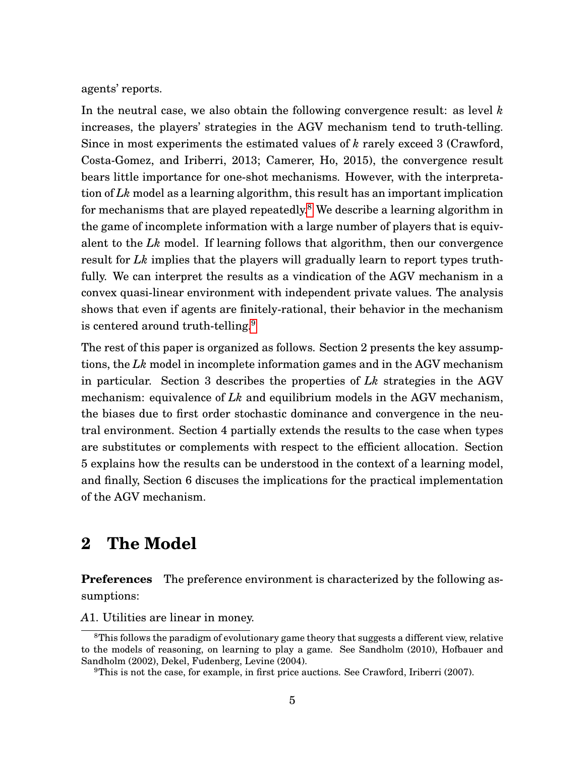agents' reports.

In the neutral case, we also obtain the following convergence result: as level *k* increases, the players' strategies in the AGV mechanism tend to truth-telling. Since in most experiments the estimated values of *k* rarely exceed 3 (Crawford, Costa-Gomez, and Iriberri, 2013; Camerer, Ho, 2015), the convergence result bears little importance for one-shot mechanisms. However, with the interpretation of *Lk* model as a learning algorithm, this result has an important implication for mechanisms that are played repeatedly.<sup>[8](#page-6-0)</sup> We describe a learning algorithm in the game of incomplete information with a large number of players that is equivalent to the *Lk* model. If learning follows that algorithm, then our convergence result for *Lk* implies that the players will gradually learn to report types truthfully. We can interpret the results as a vindication of the AGV mechanism in a convex quasi-linear environment with independent private values. The analysis shows that even if agents are finitely-rational, their behavior in the mechanism is centered around truth-telling.<sup>[9](#page-6-1)</sup>

The rest of this paper is organized as follows. Section 2 presents the key assumptions, the *Lk* model in incomplete information games and in the AGV mechanism in particular. Section 3 describes the properties of *Lk* strategies in the AGV mechanism: equivalence of *Lk* and equilibrium models in the AGV mechanism, the biases due to first order stochastic dominance and convergence in the neutral environment. Section 4 partially extends the results to the case when types are substitutes or complements with respect to the efficient allocation. Section 5 explains how the results can be understood in the context of a learning model, and finally, Section 6 discuses the implications for the practical implementation of the AGV mechanism.

### **2 The Model**

**Preferences** The preference environment is characterized by the following assumptions:

*A*1. Utilities are linear in money.

<span id="page-6-0"></span><sup>&</sup>lt;sup>8</sup>This follows the paradigm of evolutionary game theory that suggests a different view, relative to the models of reasoning, on learning to play a game. See Sandholm (2010), Hofbauer and Sandholm (2002), Dekel, Fudenberg, Levine (2004).

<span id="page-6-1"></span><sup>9</sup>This is not the case, for example, in first price auctions. See Crawford, Iriberri (2007).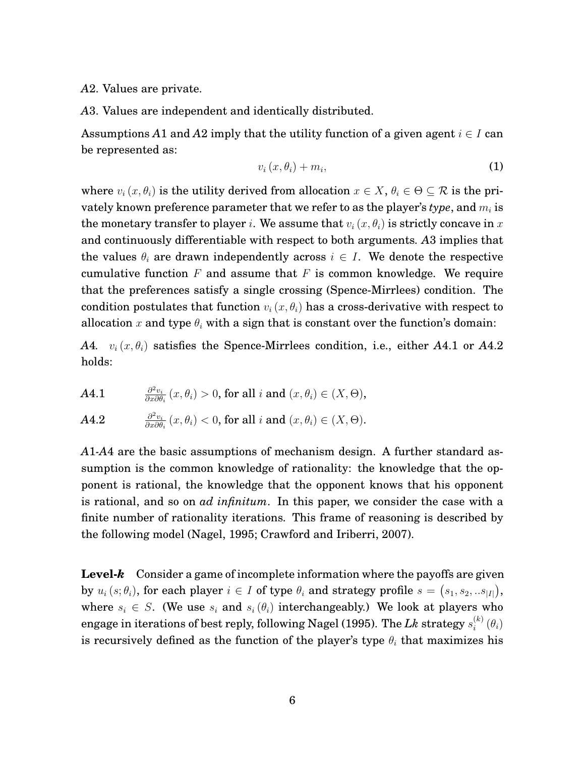*A*2. Values are private.

*A*3. Values are independent and identically distributed.

Assumptions *A*1 and *A*2 imply that the utility function of a given agent  $i \in I$  can be represented as:

<span id="page-7-0"></span>
$$
v_i(x, \theta_i) + m_i, \tag{1}
$$

where  $v_i(x, \theta_i)$  is the utility derived from allocation  $x \in X$ ,  $\theta_i \in \Theta \subseteq \mathcal{R}$  is the privately known preference parameter that we refer to as the player's *type*, and  $m_i$  is the monetary transfer to player *i*. We assume that  $v_i(x, \theta_i)$  is strictly concave in x and continuously differentiable with respect to both arguments. *A*3 implies that the values  $\theta_i$  are drawn independently across  $i \in I$ . We denote the respective cumulative function  $F$  and assume that  $F$  is common knowledge. We require that the preferences satisfy a single crossing (Spence-Mirrlees) condition. The condition postulates that function  $v_i(x, \theta_i)$  has a cross-derivative with respect to allocation x and type  $\theta_i$  with a sign that is constant over the function's domain:

*A*4*.*  $v_i(x, \theta_i)$  satisfies the Spence-Mirrlees condition, i.e., either *A*4.1 or *A*4.2 holds:

**A4.1** 
$$
\frac{\partial^2 v_i}{\partial x \partial \theta_i}(x, \theta_i) > 0, \text{ for all } i \text{ and } (x, \theta_i) \in (X, \Theta),
$$

**A4.2** 
$$
\frac{\partial^2 v_i}{\partial x \partial \theta_i}(x,\theta_i) < 0, \text{ for all } i \text{ and } (x,\theta_i) \in (X,\Theta).
$$

*A*1*-A*4 are the basic assumptions of mechanism design. A further standard assumption is the common knowledge of rationality: the knowledge that the opponent is rational, the knowledge that the opponent knows that his opponent is rational, and so on *ad infinitum*. In this paper, we consider the case with a finite number of rationality iterations. This frame of reasoning is described by the following model (Nagel, 1995; Crawford and Iriberri, 2007).

**Level-***k* Consider a game of incomplete information where the payoffs are given by  $u_i\left(s;\theta_i\right)$ , for each player  $i\in I$  of type  $\theta_i$  and strategy profile  $s=\left(s_1,s_2,..s_{|I|}\right)$ , where  $s_i \in S$ . (We use  $s_i$  and  $s_i(\theta_i)$  interchangeably.) We look at players who engage in iterations of best reply, following Nagel (1995). The  $Lk$  strategy  $s_i^{(k)}$  $\binom{\kappa}{i}(\theta_i)$ is recursively defined as the function of the player's type  $\theta_i$  that maximizes his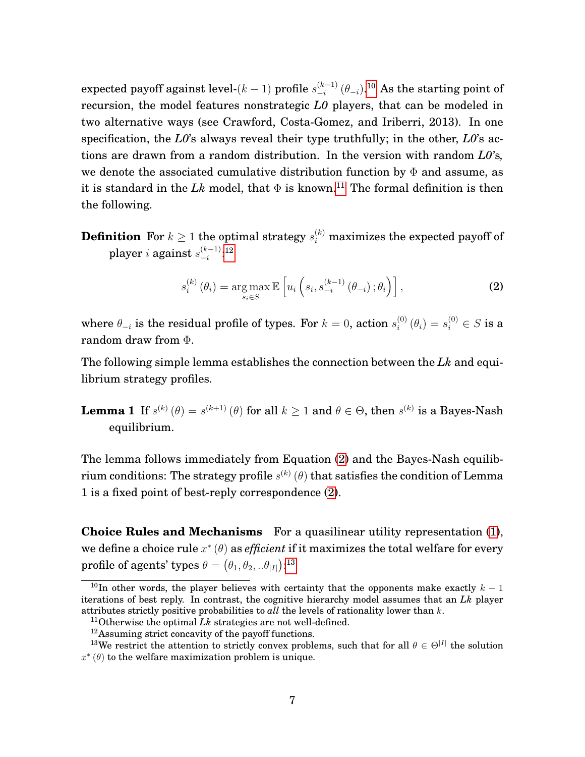expected payoff against level- $(k-1)$  profile  $s_{-i}^{(k-1)}$  $\frac{\left( k-1\right) }{-i}\left( \theta _{-i}\right) .^{\text{10}}$  $\frac{\left( k-1\right) }{-i}\left( \theta _{-i}\right) .^{\text{10}}$  $\frac{\left( k-1\right) }{-i}\left( \theta _{-i}\right) .^{\text{10}}$  As the starting point of recursion, the model features nonstrategic *L0* players, that can be modeled in two alternative ways (see Crawford, Costa-Gomez, and Iriberri, 2013). In one specification, the *L0*'s always reveal their type truthfully; in the other, *L0*'s actions are drawn from a random distribution. In the version with random *L0'*s*,* we denote the associated cumulative distribution function by  $\Phi$  and assume, as it is standard in the  $Lk$  model, that  $\Phi$  is known.<sup>[11](#page-8-1)</sup> The formal definition is then the following.

 $\textbf{Definition} \ \ \text{For} \ k \geq 1 \ \text{the optimal strategy} \ s_i^{(k)} \ \text{maximizes the expected payoff of}$ player  $i$  against  $s_{-i}^{(k-1)}$  $\frac{(k-1)}{-i}$ :[12](#page-8-2)

<span id="page-8-3"></span>
$$
s_i^{(k)}\left(\theta_i\right) = \underset{s_i \in S}{\arg \max} \mathbb{E}\left[u_i\left(s_i, s_{-i}^{(k-1)}\left(\theta_{-i}\right); \theta_i\right)\right],\tag{2}
$$

where  $\theta_{-i}$  is the residual profile of types. For  $k=0$ , action  $s_i^{(0)}$  $\mathbf{g}_{i}^{(0)}\left(\theta_{i}\right)=s_{i}^{(0)}\in S$  is a random draw from Φ.

The following simple lemma establishes the connection between the *Lk* and equilibrium strategy profiles.

**Lemma 1** If  $s^{(k)}(\theta) = s^{(k+1)}(\theta)$  for all  $k \ge 1$  and  $\theta \in \Theta$ , then  $s^{(k)}$  is a Bayes-Nash equilibrium.

The lemma follows immediately from Equation [\(2\)](#page-8-3) and the Bayes-Nash equilibrium conditions: The strategy profile  $s^{(k)}\left(\theta\right)$  that satisfies the condition of Lemma 1 is a fixed point of best-reply correspondence [\(2\)](#page-8-3).

**Choice Rules and Mechanisms** For a quasilinear utility representation [\(1\)](#page-7-0), we define a choice rule  $x^*(\theta)$  as *efficient* if it maximizes the total welfare for every profile of agents' types  $\theta = \left( \theta_1, \theta_2, .. \theta_{|I|} \right)$ :[13](#page-8-4)

<span id="page-8-0"></span><sup>&</sup>lt;sup>10</sup>In other words, the player believes with certainty that the opponents make exactly  $k - 1$ iterations of best reply. In contrast, the cognitive hierarchy model assumes that an *Lk* player attributes strictly positive probabilities to *all* the levels of rationality lower than k.

<span id="page-8-1"></span><sup>11</sup>Otherwise the optimal *Lk* strategies are not well-defined.

<span id="page-8-4"></span><span id="page-8-2"></span><sup>12</sup>Assuming strict concavity of the payoff functions.

<sup>&</sup>lt;sup>13</sup>We restrict the attention to strictly convex problems, such that for all  $\theta \in \Theta^{|I|}$  the solution  $x^*(\theta)$  to the welfare maximization problem is unique.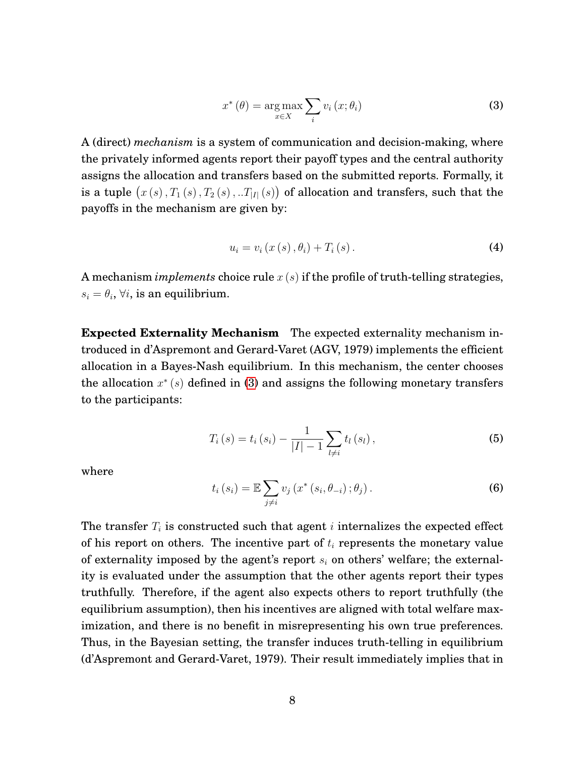<span id="page-9-0"></span>
$$
x^*(\theta) = \underset{x \in X}{\arg \max} \sum_i v_i(x; \theta_i)
$$
\n(3)

A (direct) *mechanism* is a system of communication and decision-making, where the privately informed agents report their payoff types and the central authority assigns the allocation and transfers based on the submitted reports. Formally, it is a tuple  $(x(s), T_1(s), T_2(s), . . T_{|I|}(s))$  of allocation and transfers, such that the payoffs in the mechanism are given by:

$$
u_{i} = v_{i} (x (s), \theta_{i}) + T_{i} (s).
$$
 (4)

A mechanism *implements* choice rule x (s) if the profile of truth-telling strategies,  $s_i = \theta_i$ ,  $\forall i$ , is an equilibrium.

**Expected Externality Mechanism** The expected externality mechanism introduced in d'Aspremont and Gerard-Varet (AGV, 1979) implements the efficient allocation in a Bayes-Nash equilibrium. In this mechanism, the center chooses the allocation  $x^*(s)$  defined in [\(3\)](#page-9-0) and assigns the following monetary transfers to the participants:

$$
T_{i}(s) = t_{i}(s_{i}) - \frac{1}{|I| - 1} \sum_{l \neq i} t_{l}(s_{l}), \qquad (5)
$$

where

<span id="page-9-1"></span>
$$
t_i(s_i) = \mathbb{E}\sum_{j\neq i} v_j\left(x^*(s_i, \theta_{-i}); \theta_j\right).
$$
 (6)

The transfer  $T_i$  is constructed such that agent i internalizes the expected effect of his report on others. The incentive part of  $t_i$  represents the monetary value of externality imposed by the agent's report  $s_i$  on others' welfare; the externality is evaluated under the assumption that the other agents report their types truthfully. Therefore, if the agent also expects others to report truthfully (the equilibrium assumption), then his incentives are aligned with total welfare maximization, and there is no benefit in misrepresenting his own true preferences. Thus, in the Bayesian setting, the transfer induces truth-telling in equilibrium (d'Aspremont and Gerard-Varet, 1979). Their result immediately implies that in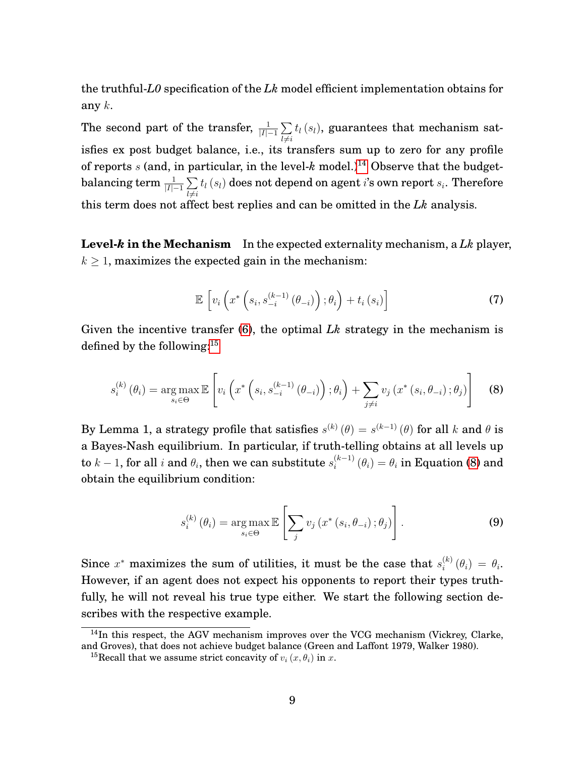the truthful-*L0* specification of the *Lk* model efficient implementation obtains for any  $k$ .

The second part of the transfer,  $\frac{1}{|I|-1} \sum_{i=1}^{I}$  $l\neq i$  $t_l\left( s_l\right)$ , guarantees that mechanism satisfies ex post budget balance, i.e., its transfers sum up to zero for any profile of reports s (and, in particular, in the level- $k$  model.)<sup>[14](#page-10-0)</sup> Observe that the budgetbalancing term  $\frac{1}{|I|-1}\sum_{i=1}^n$  $l\neq i$  $t_{l}\left(s_{l}\right)$  does not depend on agent  $i$ 's own report  $s_{i}.$  Therefore this term does not affect best replies and can be omitted in the *Lk* analysis.

**Level-***k* **in the Mechanism** In the expected externality mechanism, a *Lk* player,  $k > 1$ , maximizes the expected gain in the mechanism:

$$
\mathbb{E}\left[v_i\left(x^*\left(s_i, s_{-i}^{(k-1)}\left(\theta_{-i}\right)\right); \theta_i\right) + t_i\left(s_i\right)\right]
$$
\n(7)

Given the incentive transfer [\(6\)](#page-9-1), the optimal *Lk* strategy in the mechanism is defined by the following:[15](#page-10-1)

<span id="page-10-2"></span>
$$
s_i^{(k)}(\theta_i) = \underset{s_i \in \Theta}{\arg \max} \mathbb{E}\left[v_i\left(x^*\left(s_i, s_{-i}^{(k-1)}(\theta_{-i})\right); \theta_i\right) + \sum_{j \neq i} v_j\left(x^*\left(s_i, \theta_{-i}\right); \theta_j\right)\right]
$$
(8)

By Lemma 1, a strategy profile that satisfies  $s^{(k)}(\theta) = s^{(k-1)}(\theta)$  for all k and  $\theta$  is a Bayes-Nash equilibrium. In particular, if truth-telling obtains at all levels up to  $k-1,$  for all  $i$  and  $\theta_i,$  then we can substitute  $s_i^{(k-1)}$  $\theta_i^{(k-1)}(\theta_i) = \theta_i$  in Equation [\(8\)](#page-10-2) and obtain the equilibrium condition:

$$
s_i^{(k)}(\theta_i) = \underset{s_i \in \Theta}{\arg \max} \mathbb{E}\left[\sum_j v_j\left(x^*\left(s_i, \theta_{-i}\right); \theta_j\right)\right]. \tag{9}
$$

Since  $x^*$  maximizes the sum of utilities, it must be the case that  $s_i^{(k)}$  $i^{(\kappa)}(\theta_i) = \theta_i.$ However, if an agent does not expect his opponents to report their types truthfully, he will not reveal his true type either. We start the following section describes with the respective example.

<span id="page-10-0"></span><sup>&</sup>lt;sup>14</sup>In this respect, the AGV mechanism improves over the VCG mechanism (Vickrey, Clarke, and Groves), that does not achieve budget balance (Green and Laffont 1979, Walker 1980).

<span id="page-10-1"></span><sup>&</sup>lt;sup>15</sup>Recall that we assume strict concavity of  $v_i(x, \theta_i)$  in x.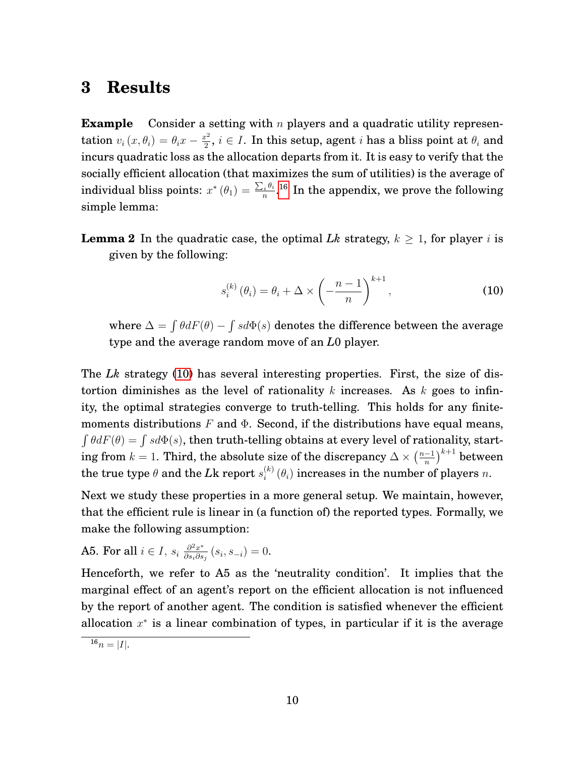### **3 Results**

**Example** Consider a setting with n players and a quadratic utility representation  $v_i(x, \theta_i) = \theta_i x - \frac{x^2}{2}$  $\frac{e^2}{2}$ ,  $i \in I$ . In this setup, agent  $i$  has a bliss point at  $\theta_i$  and incurs quadratic loss as the allocation departs from it. It is easy to verify that the socially efficient allocation (that maximizes the sum of utilities) is the average of individual bliss points:  $x^*(\theta_1) = \frac{\sum_i \theta_i}{n}$  $\frac{1}{n}e^{i\theta}$ .  $^{16}$  $^{16}$  $^{16}$  In the appendix, we prove the following simple lemma:

**Lemma 2** In the quadratic case, the optimal *Lk* strategy,  $k \geq 1$ , for player i is given by the following:

<span id="page-11-1"></span>
$$
s_i^{(k)}(\theta_i) = \theta_i + \Delta \times \left(-\frac{n-1}{n}\right)^{k+1},\tag{10}
$$

where  $\Delta = \int \theta dF(\theta) - \int s d\Phi(s)$  denotes the difference between the average type and the average random move of an *L*0 player.

The *Lk* strategy [\(10\)](#page-11-1) has several interesting properties. First, the size of distortion diminishes as the level of rationality k increases. As k goes to infinity, the optimal strategies converge to truth-telling. This holds for any finitemoments distributions  $F$  and  $\Phi$ . Second, if the distributions have equal means,  $\int \theta dF(\theta) = \int s d\Phi(s)$ , then truth-telling obtains at every level of rationality, starting from  $k = 1$ . Third, the absolute size of the discrepancy  $\Delta \times \left(\frac{n-1}{n}\right)$  $\left(\frac{-1}{n}\right)^{k+1}$  between the true type  $\theta$  and the  $L$ k report  $s_i^{(k)}$  $\binom{[k]}{i}$  ( $\theta_i$ ) increases in the number of players n.

Next we study these properties in a more general setup. We maintain, however, that the efficient rule is linear in (a function of) the reported types. Formally, we make the following assumption:

**A5. For all** 
$$
i \in I
$$
,  $s_i \frac{\partial^2 x^*}{\partial s_i \partial s_j}(s_i, s_{-i}) = 0$ .

Henceforth, we refer to A5 as the 'neutrality condition'. It implies that the marginal effect of an agent's report on the efficient allocation is not influenced by the report of another agent. The condition is satisfied whenever the efficient allocation  $x^*$  is a linear combination of types, in particular if it is the average

<span id="page-11-0"></span> $16_n = |I|.$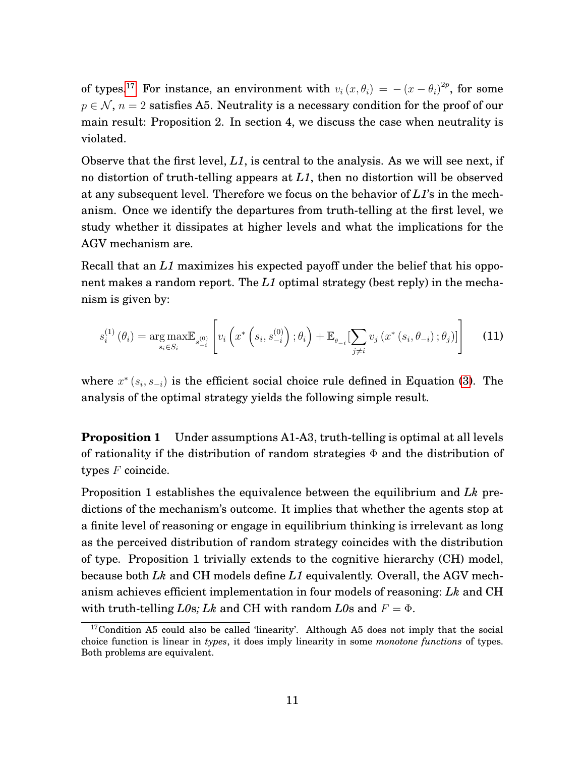of types.<sup>[17](#page-12-0)</sup> For instance, an environment with  $v_i(x, \theta_i) = -(x - \theta_i)^{2p}$ , for some  $p \in \mathcal{N}$ ,  $n = 2$  satisfies A5. Neutrality is a necessary condition for the proof of our main result: Proposition 2. In section 4, we discuss the case when neutrality is violated.

Observe that the first level,  $L1$ , is central to the analysis. As we will see next, if no distortion of truth-telling appears at *L1*, then no distortion will be observed at any subsequent level. Therefore we focus on the behavior of *L1*'s in the mechanism. Once we identify the departures from truth-telling at the first level, we study whether it dissipates at higher levels and what the implications for the AGV mechanism are.

Recall that an *L1* maximizes his expected payoff under the belief that his opponent makes a random report. The *L1* optimal strategy (best reply) in the mechanism is given by:

<span id="page-12-1"></span>
$$
s_i^{(1)}\left(\theta_i\right) = \underset{s_i \in S_i}{\arg \max} \mathbb{E}_{s_{i-1}^{(0)}}\left[v_i\left(x^*\left(s_i, s_{-i}^{(0)}\right); \theta_i\right) + \mathbb{E}_{\theta_{-i}}\left[\sum_{j \neq i} v_j\left(x^*\left(s_i, \theta_{-i}\right); \theta_j\right)\right]\right]
$$
(11)

where  $x^*(s_i, s_{-i})$  is the efficient social choice rule defined in Equation [\(3\)](#page-9-0). The analysis of the optimal strategy yields the following simple result.

**Proposition 1** Under assumptions A1-A3, truth-telling is optimal at all levels of rationality if the distribution of random strategies  $\Phi$  and the distribution of types  $F$  coincide.

Proposition 1 establishes the equivalence between the equilibrium and *Lk* predictions of the mechanism's outcome. It implies that whether the agents stop at a finite level of reasoning or engage in equilibrium thinking is irrelevant as long as the perceived distribution of random strategy coincides with the distribution of type. Proposition 1 trivially extends to the cognitive hierarchy (CH) model, because both *Lk* and CH models define *L1* equivalently. Overall, the AGV mechanism achieves efficient implementation in four models of reasoning: *Lk* and CH with truth-telling *L0s*; *Lk* and CH with random *L0s* and  $F = \Phi$ .

<span id="page-12-0"></span><sup>17</sup>Condition A5 could also be called 'linearity'. Although A5 does not imply that the social choice function is linear in *types*, it does imply linearity in some *monotone functions* of types. Both problems are equivalent.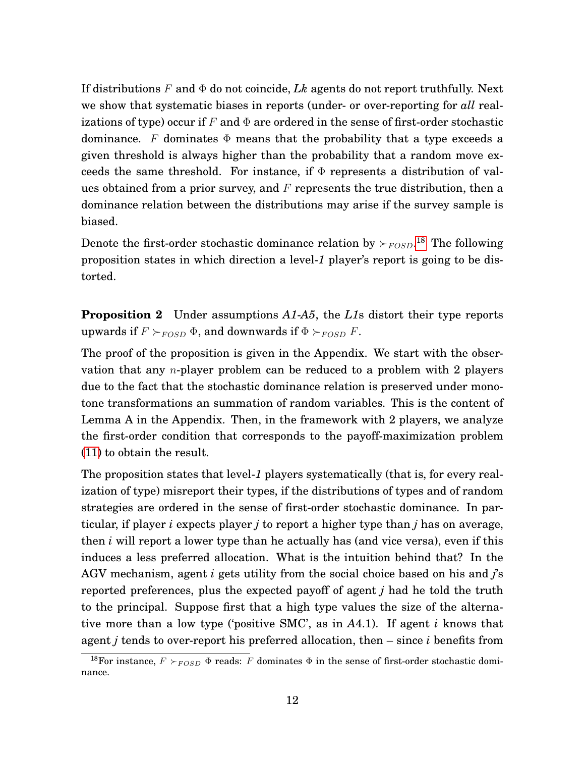If distributions  $F$  and  $\Phi$  do not coincide,  $Lk$  agents do not report truthfully. Next we show that systematic biases in reports (under- or over-reporting for *all* realizations of type) occur if F and  $\Phi$  are ordered in the sense of first-order stochastic dominance. F dominates  $\Phi$  means that the probability that a type exceeds a given threshold is always higher than the probability that a random move exceeds the same threshold. For instance, if  $\Phi$  represents a distribution of values obtained from a prior survey, and  $F$  represents the true distribution, then a dominance relation between the distributions may arise if the survey sample is biased.

Denote the first-order stochastic dominance relation by  $\succ_{FOSD}$ .<sup>[18](#page-13-0)</sup> The following proposition states in which direction a level-*1* player's report is going to be distorted.

**Proposition 2** Under assumptions *A1*-*A5*, the *L1*s distort their type reports upwards if  $F \succ_{FOSD} \Phi$ , and downwards if  $\Phi \succ_{FOSD} F$ .

The proof of the proposition is given in the Appendix. We start with the observation that any *n*-player problem can be reduced to a problem with 2 players due to the fact that the stochastic dominance relation is preserved under monotone transformations an summation of random variables. This is the content of Lemma A in the Appendix. Then, in the framework with 2 players, we analyze the first-order condition that corresponds to the payoff-maximization problem [\(11\)](#page-12-1) to obtain the result.

The proposition states that level-*1* players systematically (that is, for every realization of type) misreport their types, if the distributions of types and of random strategies are ordered in the sense of first-order stochastic dominance. In particular, if player *i* expects player *j* to report a higher type than *j* has on average, then *i* will report a lower type than he actually has (and vice versa), even if this induces a less preferred allocation. What is the intuition behind that? In the AGV mechanism, agent *i* gets utility from the social choice based on his and *j*'s reported preferences, plus the expected payoff of agent *j* had he told the truth to the principal. Suppose first that a high type values the size of the alternative more than a low type ('positive SMC', as in *A*4.1). If agent *i* knows that agent *j* tends to over-report his preferred allocation, then – since *i* benefits from

<span id="page-13-0"></span><sup>&</sup>lt;sup>18</sup>For instance,  $F \succ_{FOSD} \Phi$  reads: F dominates  $\Phi$  in the sense of first-order stochastic dominance.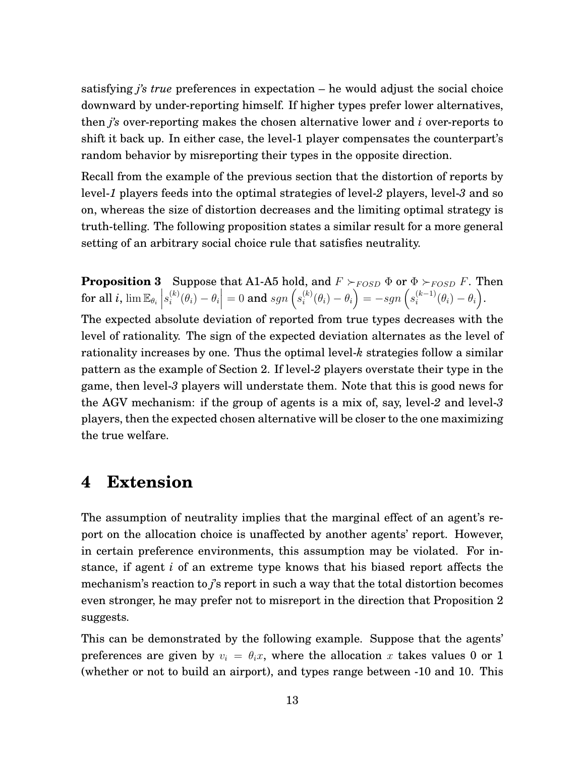satisfying *j's true* preferences in expectation – he would adjust the social choice downward by under-reporting himself. If higher types prefer lower alternatives, then *j's* over-reporting makes the chosen alternative lower and *i* over-reports to shift it back up. In either case, the level-1 player compensates the counterpart's random behavior by misreporting their types in the opposite direction.

Recall from the example of the previous section that the distortion of reports by level-*1* players feeds into the optimal strategies of level-*2* players, level-*3* and so on, whereas the size of distortion decreases and the limiting optimal strategy is truth-telling. The following proposition states a similar result for a more general setting of an arbitrary social choice rule that satisfies neutrality.

**Proposition 3** Suppose that A1-A5 hold, and  $F \succ_{FOSD} \Phi$  or  $\Phi \succ_{FOSD} F$ . Then for all  $i, \lim \mathbb{E}_{\theta_i} \Big|$  $s_i^{(k)}$  $\binom{k}{i}(\theta_i)-\theta_i$  $= 0$  and  $sgn\left(s_i^{(k)}\right)$  $\theta_i^{(k)}(\theta_i) - \theta_i$  =  $-sgn(s_i^{(k-1)})$  $\binom{(k-1)}{i}(\theta_i)-\theta_i$ . The expected absolute deviation of reported from true types decreases with the level of rationality. The sign of the expected deviation alternates as the level of rationality increases by one. Thus the optimal level-*k* strategies follow a similar pattern as the example of Section 2. If level-*2* players overstate their type in the game, then level-*3* players will understate them. Note that this is good news for the AGV mechanism: if the group of agents is a mix of, say, level-*2* and level-*3* players, then the expected chosen alternative will be closer to the one maximizing

## the true welfare.

### **4 Extension**

The assumption of neutrality implies that the marginal effect of an agent's report on the allocation choice is unaffected by another agents' report. However, in certain preference environments, this assumption may be violated. For instance, if agent *i* of an extreme type knows that his biased report affects the mechanism's reaction to *j*'s report in such a way that the total distortion becomes even stronger, he may prefer not to misreport in the direction that Proposition 2 suggests.

This can be demonstrated by the following example. Suppose that the agents' preferences are given by  $v_i = \theta_i x$ , where the allocation x takes values 0 or 1 (whether or not to build an airport), and types range between -10 and 10. This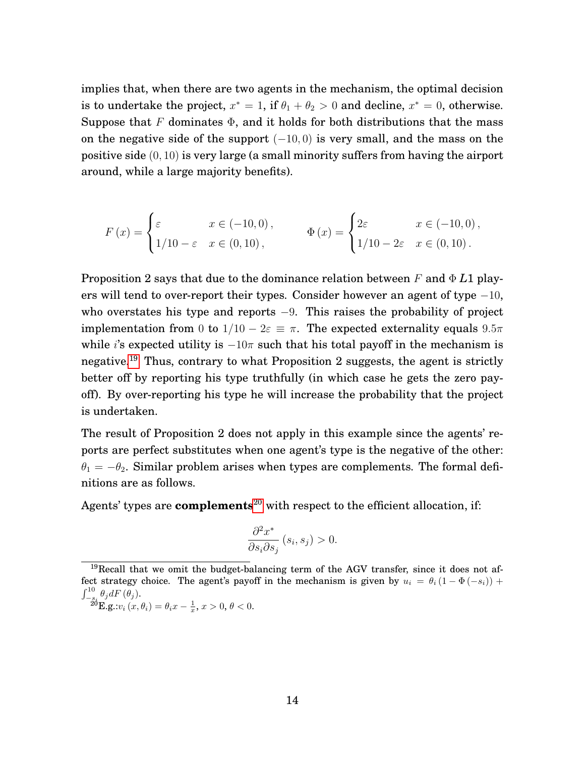implies that, when there are two agents in the mechanism, the optimal decision is to undertake the project,  $x^* = 1$ , if  $\theta_1 + \theta_2 > 0$  and decline,  $x^* = 0$ , otherwise. Suppose that F dominates  $\Phi$ , and it holds for both distributions that the mass on the negative side of the support  $(-10, 0)$  is very small, and the mass on the positive side (0, 10) is very large (a small minority suffers from having the airport around, while a large majority benefits).

$$
F(x) = \begin{cases} \varepsilon & x \in (-10,0), \\ 1/10 - \varepsilon & x \in (0,10), \end{cases} \qquad \Phi(x) = \begin{cases} 2\varepsilon & x \in (-10,0), \\ 1/10 - 2\varepsilon & x \in (0,10). \end{cases}
$$

Proposition 2 says that due to the dominance relation between F and Φ *L*1 players will tend to over-report their types. Consider however an agent of type  $-10$ , who overstates his type and reports  $-9$ . This raises the probability of project implementation from 0 to  $1/10 - 2\varepsilon \equiv \pi$ . The expected externality equals  $9.5\pi$ while i's expected utility is  $-10\pi$  such that his total payoff in the mechanism is negative.[19](#page-15-0) Thus, contrary to what Proposition 2 suggests, the agent is strictly better off by reporting his type truthfully (in which case he gets the zero payoff). By over-reporting his type he will increase the probability that the project is undertaken.

The result of Proposition 2 does not apply in this example since the agents' reports are perfect substitutes when one agent's type is the negative of the other:  $\theta_1 = -\theta_2$ . Similar problem arises when types are complements. The formal definitions are as follows.

Agents' types are **complements**<sup>[20](#page-15-1)</sup> with respect to the efficient allocation, if:

$$
\frac{\partial^2 x^*}{\partial s_i \partial s_j} (s_i, s_j) > 0.
$$

<span id="page-15-1"></span>
$$
\tilde{A}^{\delta} \mathbf{E}. \mathbf{g}. \mathbf{w}_i(x, \theta_i) = \theta_i x - \frac{1}{x}, x > 0, \theta < 0.
$$

<span id="page-15-0"></span> $19$ Recall that we omit the budget-balancing term of the AGV transfer, since it does not affect strategy choice. The agent's payoff in the mechanism is given by  $u_i = \theta_i (1 - \Phi(-s_i))$  +  $\int_{-s_i}^{10} \theta_j dF(\theta_j)$ .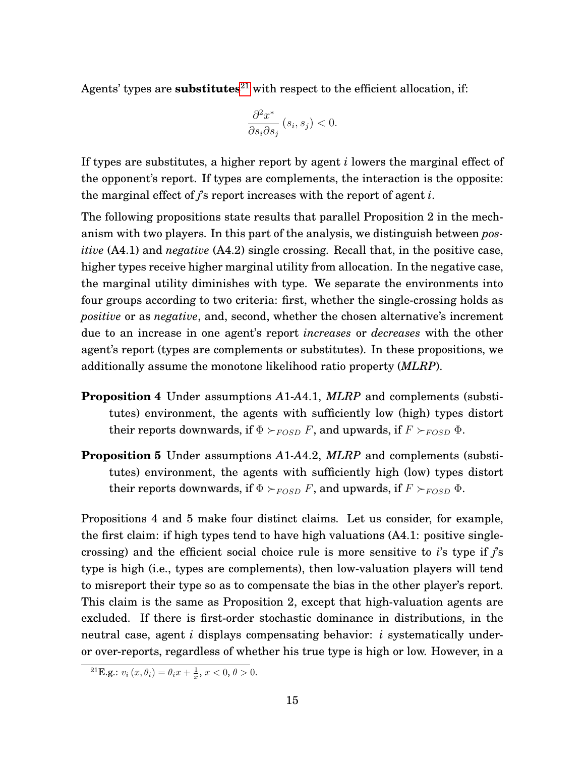Agents' types are **substitutes**<sup>[21](#page-16-0)</sup> with respect to the efficient allocation, if:

$$
\frac{\partial^2 x^*}{\partial s_i \partial s_j} (s_i, s_j) < 0.
$$

If types are substitutes, a higher report by agent *i* lowers the marginal effect of the opponent's report. If types are complements, the interaction is the opposite: the marginal effect of *j*'s report increases with the report of agent *i*.

The following propositions state results that parallel Proposition 2 in the mechanism with two players. In this part of the analysis, we distinguish between *positive* (A4.1) and *negative* (A4.2) single crossing. Recall that, in the positive case, higher types receive higher marginal utility from allocation. In the negative case, the marginal utility diminishes with type. We separate the environments into four groups according to two criteria: first, whether the single-crossing holds as *positive* or as *negative*, and, second, whether the chosen alternative's increment due to an increase in one agent's report *increases* or *decreases* with the other agent's report (types are complements or substitutes). In these propositions, we additionally assume the monotone likelihood ratio property (*MLRP*).

- **Proposition 4** Under assumptions *A*1-*A*4.1, *MLRP* and complements (substitutes) environment, the agents with sufficiently low (high) types distort their reports downwards, if  $\Phi \succ_{FOSD} F$ , and upwards, if  $F \succ_{FOSD} \Phi$ .
- **Proposition 5** Under assumptions *A*1*-A*4.2, *MLRP* and complements (substitutes) environment, the agents with sufficiently high (low) types distort their reports downwards, if  $\Phi \succ_{FOSD} F$ , and upwards, if  $F \succ_{FOSD} \Phi$ .

Propositions 4 and 5 make four distinct claims. Let us consider, for example, the first claim: if high types tend to have high valuations (A4.1: positive singlecrossing) and the efficient social choice rule is more sensitive to *i*'s type if *j*'s type is high (i.e., types are complements), then low-valuation players will tend to misreport their type so as to compensate the bias in the other player's report. This claim is the same as Proposition 2, except that high-valuation agents are excluded. If there is first-order stochastic dominance in distributions, in the neutral case, agent *i* displays compensating behavior: *i* systematically underor over-reports, regardless of whether his true type is high or low. However, in a

<span id="page-16-0"></span><sup>&</sup>lt;sup>21</sup>**E.g.:**  $v_i(x, \theta_i) = \theta_i x + \frac{1}{x}, x < 0, \theta > 0.$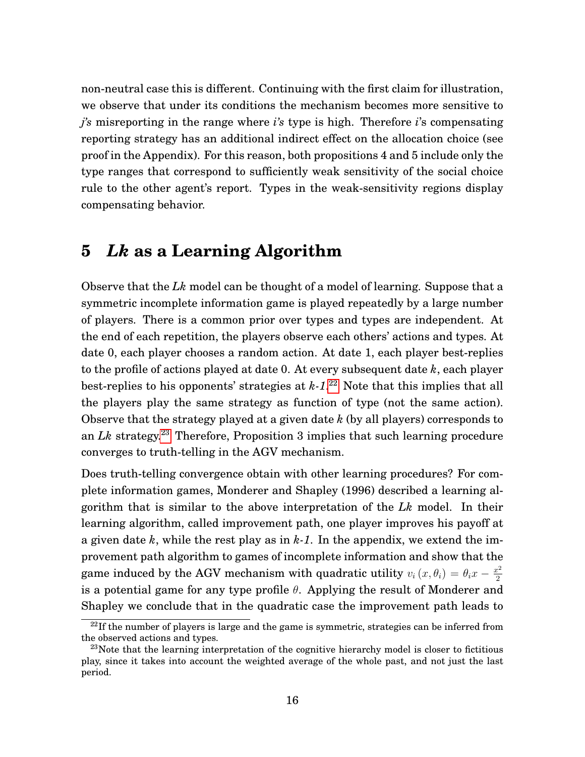non-neutral case this is different. Continuing with the first claim for illustration, we observe that under its conditions the mechanism becomes more sensitive to *j's* misreporting in the range where *i's* type is high. Therefore *i*'s compensating reporting strategy has an additional indirect effect on the allocation choice (see proof in the Appendix). For this reason, both propositions 4 and 5 include only the type ranges that correspond to sufficiently weak sensitivity of the social choice rule to the other agent's report. Types in the weak-sensitivity regions display compensating behavior.

### **5** *Lk* **as a Learning Algorithm**

Observe that the *Lk* model can be thought of a model of learning. Suppose that a symmetric incomplete information game is played repeatedly by a large number of players. There is a common prior over types and types are independent. At the end of each repetition, the players observe each others' actions and types. At date 0, each player chooses a random action. At date 1, each player best-replies to the profile of actions played at date 0. At every subsequent date *k*, each player best-replies to his opponents' strategies at *k-1*. [22](#page-17-0) Note that this implies that all the players play the same strategy as function of type (not the same action). Observe that the strategy played at a given date *k* (by all players) corresponds to an *Lk* strategy.[23](#page-17-1) Therefore, Proposition 3 implies that such learning procedure converges to truth-telling in the AGV mechanism.

Does truth-telling convergence obtain with other learning procedures? For complete information games, Monderer and Shapley (1996) described a learning algorithm that is similar to the above interpretation of the *Lk* model. In their learning algorithm, called improvement path, one player improves his payoff at a given date *k*, while the rest play as in *k-1*. In the appendix, we extend the improvement path algorithm to games of incomplete information and show that the game induced by the AGV mechanism with quadratic utility  $v_i(x, \theta_i) = \theta_i x - \frac{x^2}{2}$ 2 is a potential game for any type profile  $\theta$ . Applying the result of Monderer and Shapley we conclude that in the quadratic case the improvement path leads to

<span id="page-17-0"></span> $^{22}$ If the number of players is large and the game is symmetric, strategies can be inferred from the observed actions and types.

<span id="page-17-1"></span> $23$ Note that the learning interpretation of the cognitive hierarchy model is closer to fictitious play, since it takes into account the weighted average of the whole past, and not just the last period.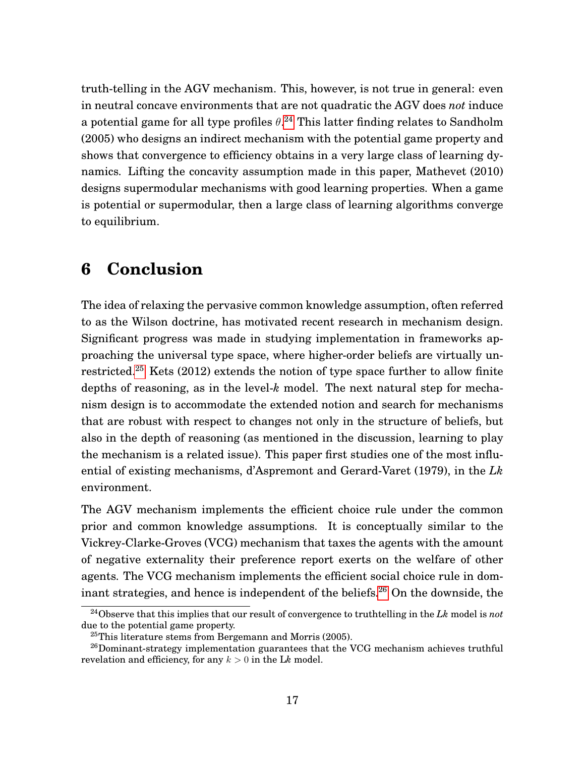truth-telling in the AGV mechanism. This, however, is not true in general: even in neutral concave environments that are not quadratic the AGV does *not* induce a potential game for all type profiles  $\theta$ .<sup>[24](#page-18-0)</sup> This latter finding relates to Sandholm (2005) who designs an indirect mechanism with the potential game property and shows that convergence to efficiency obtains in a very large class of learning dynamics. Lifting the concavity assumption made in this paper, Mathevet (2010) designs supermodular mechanisms with good learning properties. When a game is potential or supermodular, then a large class of learning algorithms converge to equilibrium.

### **6 Conclusion**

The idea of relaxing the pervasive common knowledge assumption, often referred to as the Wilson doctrine, has motivated recent research in mechanism design. Significant progress was made in studying implementation in frameworks approaching the universal type space, where higher-order beliefs are virtually unrestricted.[25](#page-18-1) Kets (2012) extends the notion of type space further to allow finite depths of reasoning, as in the level-*k* model. The next natural step for mechanism design is to accommodate the extended notion and search for mechanisms that are robust with respect to changes not only in the structure of beliefs, but also in the depth of reasoning (as mentioned in the discussion, learning to play the mechanism is a related issue). This paper first studies one of the most influential of existing mechanisms, d'Aspremont and Gerard-Varet (1979), in the *Lk* environment.

The AGV mechanism implements the efficient choice rule under the common prior and common knowledge assumptions. It is conceptually similar to the Vickrey-Clarke-Groves (VCG) mechanism that taxes the agents with the amount of negative externality their preference report exerts on the welfare of other agents. The VCG mechanism implements the efficient social choice rule in dom-inant strategies, and hence is independent of the beliefs.<sup>[26](#page-18-2)</sup> On the downside, the

<span id="page-18-0"></span><sup>24</sup>Observe that this implies that our result of convergence to truthtelling in the *Lk* model is *not* due to the potential game property.

<span id="page-18-2"></span><span id="page-18-1"></span><sup>25</sup>This literature stems from Bergemann and Morris (2005).

<sup>&</sup>lt;sup>26</sup>Dominant-strategy implementation guarantees that the VCG mechanism achieves truthful revelation and efficiency, for any  $k > 0$  in the Lk model.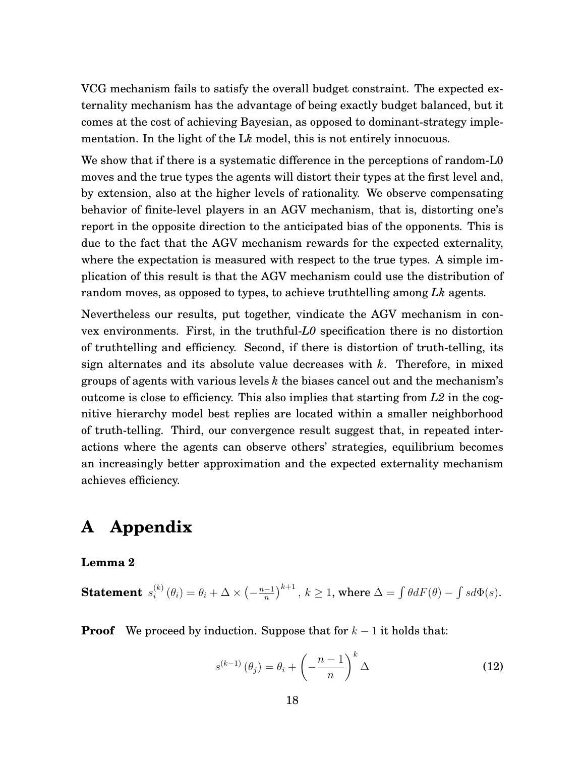VCG mechanism fails to satisfy the overall budget constraint. The expected externality mechanism has the advantage of being exactly budget balanced, but it comes at the cost of achieving Bayesian, as opposed to dominant-strategy implementation. In the light of the L*k* model, this is not entirely innocuous.

We show that if there is a systematic difference in the perceptions of random-L0 moves and the true types the agents will distort their types at the first level and, by extension, also at the higher levels of rationality. We observe compensating behavior of finite-level players in an AGV mechanism, that is, distorting one's report in the opposite direction to the anticipated bias of the opponents. This is due to the fact that the AGV mechanism rewards for the expected externality, where the expectation is measured with respect to the true types. A simple implication of this result is that the AGV mechanism could use the distribution of random moves, as opposed to types, to achieve truthtelling among *Lk* agents.

Nevertheless our results, put together, vindicate the AGV mechanism in convex environments. First, in the truthful-*L0* specification there is no distortion of truthtelling and efficiency. Second, if there is distortion of truth-telling, its sign alternates and its absolute value decreases with *k*. Therefore, in mixed groups of agents with various levels *k* the biases cancel out and the mechanism's outcome is close to efficiency. This also implies that starting from *L2* in the cognitive hierarchy model best replies are located within a smaller neighborhood of truth-telling. Third, our convergence result suggest that, in repeated interactions where the agents can observe others' strategies, equilibrium becomes an increasingly better approximation and the expected externality mechanism achieves efficiency.

### **A Appendix**

#### **Lemma 2**

**Statement**  $s_i^{(k)}$  $\theta_i^{(k)}\left(\theta_i\right)=\theta_i+\Delta\times\left(-\frac{n-1}{n}\right)$  $\left(\frac{-1}{n}\right)^{k+1},\ k\geq 1,$  where  $\Delta=\int\theta dF(\theta)-\int sd\Phi(s).$ 

**Proof** We proceed by induction. Suppose that for  $k - 1$  it holds that:

<span id="page-19-0"></span>
$$
s^{(k-1)}(\theta_j) = \theta_i + \left(-\frac{n-1}{n}\right)^k \Delta \tag{12}
$$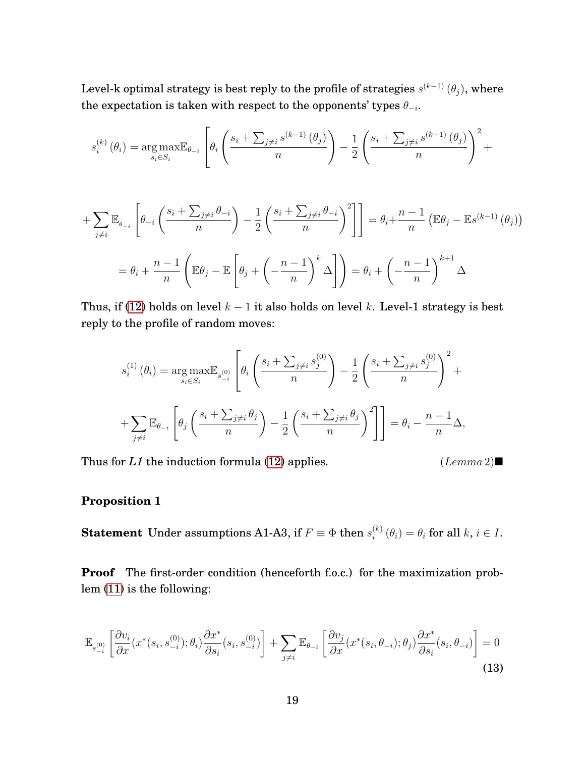Level-k optimal strategy is best reply to the profile of strategies  $s^{(k-1)}$   $(\theta_j),$  where the expectation is taken with respect to the opponents' types  $\theta_{-i}$ .

$$
s_i^{(k)}(\theta_i) = \underset{s_i \in S_i}{\arg \max} \mathbb{E}_{\theta_{-i}} \left[ \theta_i \left( \frac{s_i + \sum_{j \neq i} s^{(k-1)}(\theta_j)}{n} \right) - \frac{1}{2} \left( \frac{s_i + \sum_{j \neq i} s^{(k-1)}(\theta_j)}{n} \right)^2 + \right]
$$

$$
+ \sum_{j \neq i} \mathbb{E}_{\theta_{-i}} \left[ \theta_{-i} \left( \frac{s_i + \sum_{j \neq i} \theta_{-i}}{n} \right) - \frac{1}{2} \left( \frac{s_i + \sum_{j \neq i} \theta_{-i}}{n} \right)^2 \right] \right] = \theta_i + \frac{n-1}{n} \left( \mathbb{E} \theta_j - \mathbb{E} s^{(k-1)} \left( \theta_j \right) \right)
$$

$$
= \theta_i + \frac{n-1}{n} \left( \mathbb{E} \theta_j - \mathbb{E} \left[ \theta_j + \left( -\frac{n-1}{n} \right)^k \Delta \right] \right) = \theta_i + \left( -\frac{n-1}{n} \right)^{k+1} \Delta
$$

Thus, if [\(12\)](#page-19-0) holds on level  $k - 1$  it also holds on level k. Level-1 strategy is best reply to the profile of random moves:

$$
s_i^{(1)}(\theta_i) = \underset{s_i \in S_i}{\arg \max} \mathbb{E}_{s_i^{(0)}} \left[ \theta_i \left( \frac{s_i + \sum_{j \neq i} s_j^{(0)}}{n} \right) - \frac{1}{2} \left( \frac{s_i + \sum_{j \neq i} s_j^{(0)}}{n} \right)^2 + \right.
$$
  
+ 
$$
\sum_{j \neq i} \mathbb{E}_{\theta_{-i}} \left[ \theta_j \left( \frac{s_i + \sum_{j \neq i} \theta_j}{n} \right) - \frac{1}{2} \left( \frac{s_i + \sum_{j \neq i} \theta_j}{n} \right)^2 \right] \right] = \theta_i - \frac{n-1}{n} \Delta,
$$

Thus for *L1* the induction formula [\(12\)](#page-19-0) applies. (Lemma 2)

#### **Proposition 1**

**Statement** Under assumptions A1-A3, if  $F \equiv \Phi$  then  $s_i^{(k)}$  $\theta_i^{(k)}(\theta_i) = \theta_i$  for all  $k, i \in I$ .

**Proof** The first-order condition (henceforth f.o.c.) for the maximization problem [\(11\)](#page-12-1) is the following:

<span id="page-20-0"></span>
$$
\mathbb{E}_{s_{-i}^{(0)}} \left[ \frac{\partial v_i}{\partial x} (x^*(s_i, s_{-i}^{(0)}); \theta_i) \frac{\partial x^*}{\partial s_i} (s_i, s_{-i}^{(0)}) \right] + \sum_{j \neq i} \mathbb{E}_{\theta_{-i}} \left[ \frac{\partial v_j}{\partial x} (x^*(s_i, \theta_{-i}); \theta_j) \frac{\partial x^*}{\partial s_i} (s_i, \theta_{-i}) \right] = 0
$$
\n(13)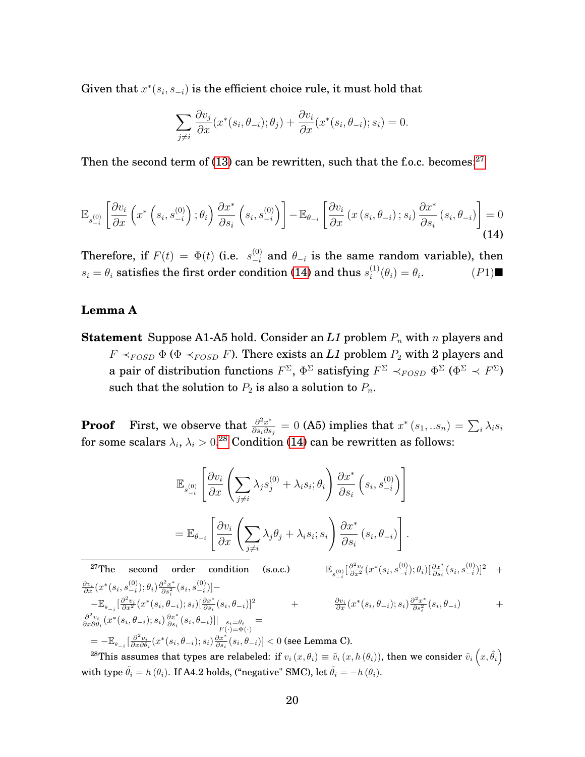Given that  $x^*(s_i, s_{-i})$  is the efficient choice rule, it must hold that

$$
\sum_{j \neq i} \frac{\partial v_j}{\partial x} (x^*(s_i, \theta_{-i}); \theta_j) + \frac{\partial v_i}{\partial x} (x^*(s_i, \theta_{-i}); s_i) = 0.
$$

Then the second term of  $(13)$  can be rewritten, such that the f.o.c. becomes:<sup>[27](#page-21-0)</sup>

<span id="page-21-1"></span>
$$
\mathbb{E}_{s_{-i}^{(0)}}\left[\frac{\partial v_i}{\partial x}\left(x^*\left(s_i, s_{-i}^{(0)}\right); \theta_i\right) \frac{\partial x^*}{\partial s_i}\left(s_i, s_{-i}^{(0)}\right)\right] - \mathbb{E}_{\theta_{-i}}\left[\frac{\partial v_i}{\partial x}\left(x\left(s_i, \theta_{-i}\right); s_i\right) \frac{\partial x^*}{\partial s_i}\left(s_i, \theta_{-i}\right)\right] = 0
$$
\n(14)

Therefore, if  $F(t) = \Phi(t)$  (i.e.  $s_{-i}^{(0)}$  and  $\theta_{-i}$  is the same random variable), then  $s_i = \theta_i$  satisfies the first order condition [\(14\)](#page-21-1) and thus  $s_i^{(1)}$  $i^{(1)}(\theta_i) = \theta_i$  $(P1)$ 

### **Lemma A**

**Statement** Suppose A1-A5 hold. Consider an  $LI$  problem  $P_n$  with n players and  $F \prec_{FOSD} \Phi$  ( $\Phi \prec_{FOSD} F$ ). There exists an *L1* problem  $P_2$  with 2 players and a pair of distribution functions  $F^\Sigma, \, \Phi^\Sigma$  satisfying  $F^\Sigma\prec_{FOSD}\Phi^\Sigma$   $(\Phi^\Sigma\prec F^\Sigma)$ such that the solution to  $P_2$  is also a solution to  $P_n$ .

**Proof** First, we observe that  $\frac{\partial^2 x^*}{\partial x \partial x}$  $\frac{\partial^2 x^*}{\partial s_i\partial s_j}=0 \text{ (A5) implies that } x^*\left(s_1,..s_n\right)=\sum_i\lambda_i s_i$ for some scalars  $\lambda_i$ ,  $\lambda_i > 0.28$  $\lambda_i > 0.28$  Condition [\(14\)](#page-21-1) can be rewritten as follows:

$$
\mathbb{E}_{s_{-i}^{(0)}}\left[\frac{\partial v_i}{\partial x}\left(\sum_{j\neq i}\lambda_j s_j^{(0)} + \lambda_i s_i; \theta_i\right) \frac{\partial x^*}{\partial s_i}\left(s_i, s_{-i}^{(0)}\right)\right]
$$
\n
$$
= \mathbb{E}_{\theta_{-i}}\left[\frac{\partial v_i}{\partial x}\left(\sum_{j\neq i}\lambda_j \theta_j + \lambda_i s_i; s_i\right) \frac{\partial x^*}{\partial s_i}\left(s_i, \theta_{-i}\right)\right].
$$
\n27The second order condition (s.o.c.)\n
$$
\mathbb{E}_{s_{-i}^{(0)}}\left[\frac{\partial^2 v_i}{\partial x^2}(x^*(s_i, s_{-i}^{(0)}))\theta_i\right] \frac{\partial x^*}{\partial s_i}(s_i, s_{-i}^{(0)})|^2 + \frac{\partial v_i}{\partial x}(x^*(s_i, s_{-i}^{(0)}); \theta_i)\left[\frac{\partial x^*}{\partial s_i}(s_i, s_{-i}^{(0)})\right]^2 - \mathbb{E}_{\theta_{-i}}\left[\frac{\partial^2 v_i}{\partial x^2}(x^*(s_i, \theta_{-i}); s_i)\frac{\partial^2 x^*}{\partial s_i}(s_i, \theta_{-i})\right] \frac{\partial x^*}{\partial s_i}(s_i, \theta_{-i})\right] \frac{\partial x^*}{\partial s_i}(s_i, \theta_{-i})\frac{\partial^2 x^*}{\partial s_i}(s_i, \theta_{-i}) + \frac{\partial^2 v_i}{\partial x \partial \theta_i}(x^*(s_i, \theta_{-i}); s_i)\frac{\partial x^*}{\partial s_i}(s_i, \theta_{-i})\right] \frac{\partial x^*}{\partial s_i}(s_i, \theta_{-i}) < 0 \text{ (see Lemma C)}.
$$

<span id="page-21-2"></span><span id="page-21-0"></span> $^{28}\text{This assumes that types are relabeled: if } v_i\left(x,\theta_i\right) \equiv \tilde{v}_i\left(x,h\left(\theta_i\right)\right)\text{, then we consider }\tilde{v}_i\left(x,\tilde{\theta_i}\right)$ with type  $\tilde{\theta}_i = h(\theta_i)$ . If A4.2 holds, ("negative" SMC), let  $\tilde{\theta}_i = -h(\theta_i)$ .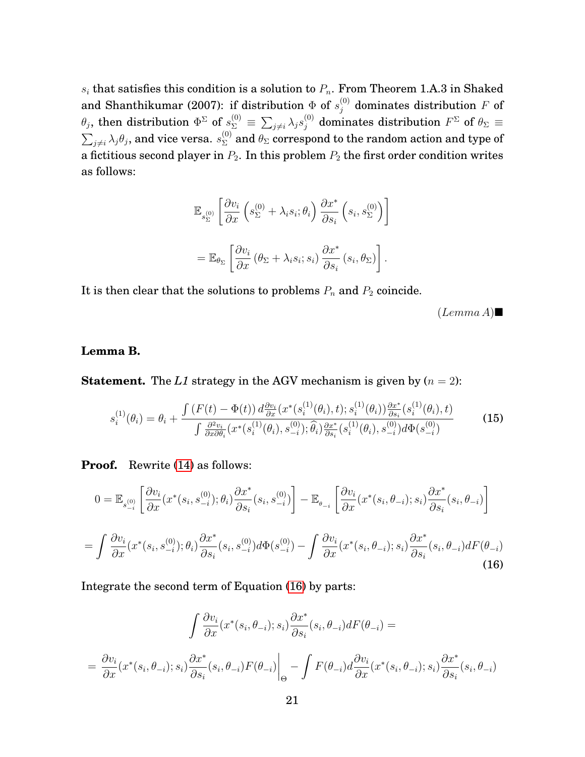$s_i$  that satisfies this condition is a solution to  $P_n$ . From Theorem 1.A.3 in Shaked and Shanthikumar (2007): if distribution  $\Phi$  of  $s_j^{(0)}$  dominates distribution F of  $\theta_j,$  then distribution  $\Phi^{\Sigma}$  of  $s^{(0)}_{\Sigma}\equiv\sum_{j\neq i}\lambda_j s^{(0)}_j$  dominates distribution  $F^{\Sigma}$  of  $\theta_{\Sigma}\equiv\theta_j$  $\sum_{j\neq i}\lambda_j\theta_j,$  and vice versa.  $s^{(0)}_\Sigma$  and  $\theta_\Sigma$  correspond to the random action and type of a fictitious second player in  $P_2$ . In this problem  $P_2$  the first order condition writes as follows:

$$
\mathbb{E}_{s_{\Sigma}^{(0)}} \left[ \frac{\partial v_i}{\partial x} \left( s_{\Sigma}^{(0)} + \lambda_i s_i; \theta_i \right) \frac{\partial x^*}{\partial s_i} \left( s_i, s_{\Sigma}^{(0)} \right) \right]
$$
  
= 
$$
\mathbb{E}_{\theta_{\Sigma}} \left[ \frac{\partial v_i}{\partial x} \left( \theta_{\Sigma} + \lambda_i s_i; s_i \right) \frac{\partial x^*}{\partial s_i} \left( s_i, \theta_{\Sigma} \right) \right].
$$

It is then clear that the solutions to problems  $P_n$  and  $P_2$  coincide.

 $(Lemma A)$ 

#### **Lemma B.**

**Statement.** The *L1* strategy in the AGV mechanism is given by  $(n = 2)$ :

$$
s_i^{(1)}(\theta_i) = \theta_i + \frac{\int (F(t) - \Phi(t)) d\frac{\partial v_i}{\partial x}(x^*(s_i^{(1)}(\theta_i), t); s_i^{(1)}(\theta_i)) \frac{\partial x^*}{\partial s_i}(s_i^{(1)}(\theta_i), t)}{\int \frac{\partial^2 v_i}{\partial x \partial \theta_i}(x^*(s_i^{(1)}(\theta_i), s_{-i}^{(0)}); \hat{\theta}_i) \frac{\partial x^*}{\partial s_i}(s_i^{(1)}(\theta_i), s_{-i}^{(0)}) d\Phi(s_{-i}^{(0)})}
$$
(15)

**Proof.** Rewrite [\(14\)](#page-21-1) as follows:

<span id="page-22-0"></span>
$$
0 = \mathbb{E}_{s_{-i}^{(0)}} \left[ \frac{\partial v_i}{\partial x} (x^*(s_i, s_{-i}^{(0)}); \theta_i) \frac{\partial x^*}{\partial s_i} (s_i, s_{-i}^{(0)}) \right] - \mathbb{E}_{\theta_{-i}} \left[ \frac{\partial v_i}{\partial x} (x^*(s_i, \theta_{-i}); s_i) \frac{\partial x^*}{\partial s_i} (s_i, \theta_{-i}) \right]
$$
  

$$
= \int \frac{\partial v_i}{\partial x} (x^*(s_i, s_{-i}^{(0)}); \theta_i) \frac{\partial x^*}{\partial s_i} (s_i, s_{-i}^{(0)}) d\Phi(s_{-i}^{(0)}) - \int \frac{\partial v_i}{\partial x} (x^*(s_i, \theta_{-i}); s_i) \frac{\partial x^*}{\partial s_i} (s_i, \theta_{-i}) dF(\theta_{-i})
$$
(16)

Integrate the second term of Equation [\(16\)](#page-22-0) by parts:

$$
\int \frac{\partial v_i}{\partial x}(x^*(s_i, \theta_{-i}); s_i) \frac{\partial x^*}{\partial s_i}(s_i, \theta_{-i}) dF(\theta_{-i}) =
$$
\n
$$
= \frac{\partial v_i}{\partial x}(x^*(s_i, \theta_{-i}); s_i) \frac{\partial x^*}{\partial s_i}(s_i, \theta_{-i}) F(\theta_{-i}) \Big|_{\Theta} - \int F(\theta_{-i}) d\frac{\partial v_i}{\partial x}(x^*(s_i, \theta_{-i}); s_i) \frac{\partial x^*}{\partial s_i}(s_i, \theta_{-i})
$$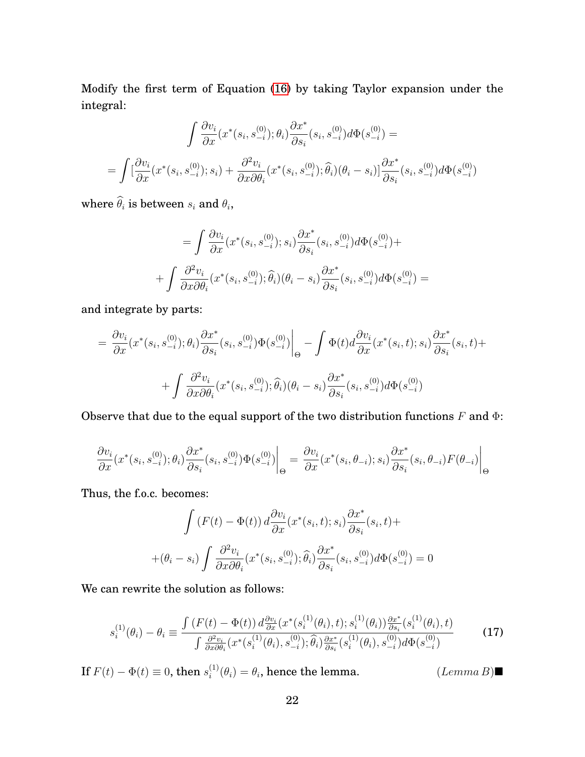Modify the first term of Equation [\(16\)](#page-22-0) by taking Taylor expansion under the integral:

$$
\int \frac{\partial v_i}{\partial x}(x^*(s_i, s_{-i}^{(0)}); \theta_i) \frac{\partial x^*}{\partial s_i}(s_i, s_{-i}^{(0)}) d\Phi(s_{-i}^{(0)}) =
$$
\n
$$
= \int [\frac{\partial v_i}{\partial x}(x^*(s_i, s_{-i}^{(0)}); s_i) + \frac{\partial^2 v_i}{\partial x \partial \theta_i}(x^*(s_i, s_{-i}^{(0)}); \widehat{\theta}_i)(\theta_i - s_i)] \frac{\partial x^*}{\partial s_i}(s_i, s_{-i}^{(0)}) d\Phi(s_{-i}^{(0)})
$$

where  $\theta_i$  is between  $s_i$  and  $\theta_i$ ,

$$
= \int \frac{\partial v_i}{\partial x} (x^*(s_i, s_{-i}^{(0)}); s_i) \frac{\partial x^*}{\partial s_i} (s_i, s_{-i}^{(0)}) d\Phi(s_{-i}^{(0)}) +
$$

$$
+ \int \frac{\partial^2 v_i}{\partial x \partial \theta_i} (x^*(s_i, s_{-i}^{(0)}); \widehat{\theta}_i) (\theta_i - s_i) \frac{\partial x^*}{\partial s_i} (s_i, s_{-i}^{(0)}) d\Phi(s_{-i}^{(0)}) =
$$

and integrate by parts:

$$
= \frac{\partial v_i}{\partial x}(x^*(s_i, s_{-i}^{(0)}); \theta_i) \frac{\partial x^*}{\partial s_i}(s_i, s_{-i}^{(0)}) \Phi(s_{-i}^{(0)}) \Big|_{\Theta} - \int \Phi(t) d\frac{\partial v_i}{\partial x}(x^*(s_i, t); s_i) \frac{\partial x^*}{\partial s_i}(s_i, t) + + \int \frac{\partial^2 v_i}{\partial x \partial \theta_i}(x^*(s_i, s_{-i}^{(0)}); \hat{\theta}_i)(\theta_i - s_i) \frac{\partial x^*}{\partial s_i}(s_i, s_{-i}^{(0)}) d\Phi(s_{-i}^{(0)})
$$

Observe that due to the equal support of the two distribution functions  $F$  and  $\Phi$ :

$$
\frac{\partial v_i}{\partial x}(x^*(s_i, s_{-i}^{(0)}); \theta_i) \frac{\partial x^*}{\partial s_i}(s_i, s_{-i}^{(0)}) \Phi(s_{-i}^{(0)})\Big|_{\Theta} = \frac{\partial v_i}{\partial x}(x^*(s_i, \theta_{-i}); s_i) \frac{\partial x^*}{\partial s_i}(s_i, \theta_{-i}) F(\theta_{-i})\Big|_{\Theta}
$$

Thus, the f.o.c. becomes:

$$
\int (F(t) - \Phi(t)) d\frac{\partial v_i}{\partial x}(x^*(s_i, t); s_i) \frac{\partial x^*}{\partial s_i}(s_i, t) +
$$

$$
+ (\theta_i - s_i) \int \frac{\partial^2 v_i}{\partial x \partial \theta_i}(x^*(s_i, s_{-i}^{(0)}); \hat{\theta}_i) \frac{\partial x^*}{\partial s_i}(s_i, s_{-i}^{(0)}) d\Phi(s_{-i}^{(0)}) = 0
$$

We can rewrite the solution as follows:

<span id="page-23-0"></span>
$$
s_i^{(1)}(\theta_i) - \theta_i \equiv \frac{\int (F(t) - \Phi(t)) d\frac{\partial v_i}{\partial x}(x^*(s_i^{(1)}(\theta_i), t); s_i^{(1)}(\theta_i)) \frac{\partial x^*}{\partial s_i}(s_i^{(1)}(\theta_i), t)}{\int \frac{\partial^2 v_i}{\partial x \partial \theta_i}(x^*(s_i^{(1)}(\theta_i), s_{-i}^{(0)}); \hat{\theta}_i) \frac{\partial x^*}{\partial s_i}(s_i^{(1)}(\theta_i), s_{-i}^{(0)}) d\Phi(s_{-i}^{(0)})}
$$
(17)

If 
$$
F(t) - \Phi(t) \equiv 0
$$
, then  $s_i^{(1)}(\theta_i) = \theta_i$ , hence the lemma.  $(Lemma B) \blacksquare$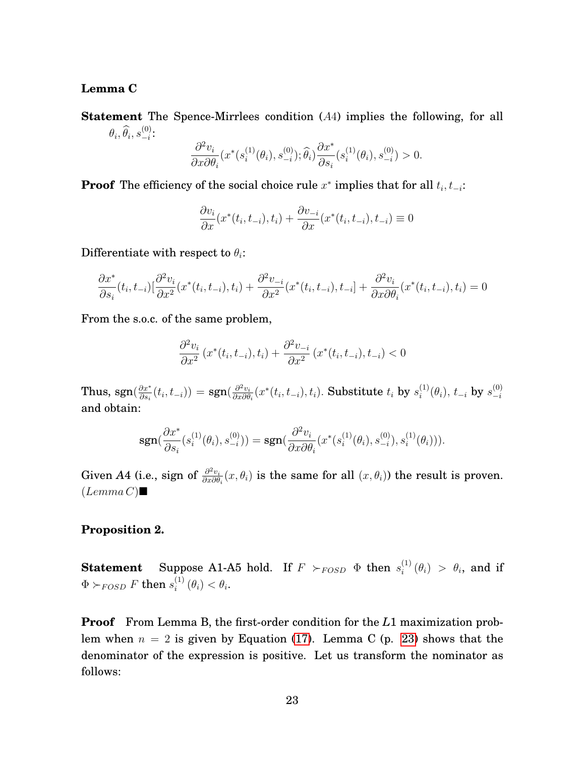#### <span id="page-24-0"></span>**Lemma C**

**Statement** The Spence-Mirrlees condition (A4) implies the following, for all  $\theta_i, \widehat{\theta}_i, s_{-i}^{(0)}$  $\frac{(0)}{-i}$ :

$$
\frac{\partial^2 v_i}{\partial x \partial \theta_i}(x^*(s_i^{(1)}(\theta_i), s_{-i}^{(0)}); \widehat{\theta}_i) \frac{\partial x^*}{\partial s_i}(s_i^{(1)}(\theta_i), s_{-i}^{(0)}) > 0.
$$

**Proof** The efficiency of the social choice rule  $x^*$  implies that for all  $t_i, t_{-i}$ :

$$
\frac{\partial v_i}{\partial x}(x^*(t_i, t_{-i}), t_i) + \frac{\partial v_{-i}}{\partial x}(x^*(t_i, t_{-i}), t_{-i}) \equiv 0
$$

Differentiate with respect to  $\theta_i$ :

$$
\frac{\partial x^*}{\partial s_i}(t_i, t_{-i}) \left[ \frac{\partial^2 v_i}{\partial x^2} (x^*(t_i, t_{-i}), t_i) + \frac{\partial^2 v_{-i}}{\partial x^2} (x^*(t_i, t_{-i}), t_{-i}) + \frac{\partial^2 v_i}{\partial x \partial \theta_i} (x^*(t_i, t_{-i}), t_i) = 0 \right]
$$

From the s.o.c. of the same problem,

$$
\frac{\partial^2 v_i}{\partial x^2} (x^*(t_i, t_{-i}), t_i) + \frac{\partial^2 v_{-i}}{\partial x^2} (x^*(t_i, t_{-i}), t_{-i}) < 0
$$

Thus, sgn $(\frac{\partial x^*}{\partial s_0})$  $\frac{\partial x^*}{\partial s_i}(t_i, t_{-i})\big) = \text{sgn}(\frac{\partial^2 v_i}{\partial x \partial \theta})$  $\frac{\partial^2 v_i}{\partial x \partial \theta_i}(x^*(t_i, t_{-i}), t_i)$ . Substitute  $t_i$  by  $s_i^{(1)}$  $\stackrel{(1)}{_{i}}\!\!\!(\theta_{i}),\, t_{-i}\,$  by  $\stackrel{(0)}{_{-i}}$  $-i$ and obtain:

$$
\text{sgn}(\frac{\partial x^*}{\partial s_i}(s_i^{(1)}(\theta_i), s_{-i}^{(0)})) = \text{sgn}(\frac{\partial^2 v_i}{\partial x \partial \theta_i}(x^*(s_i^{(1)}(\theta_i), s_{-i}^{(0)}), s_i^{(1)}(\theta_i))).
$$

Given A4 (i.e., sign of  $\frac{\partial^2 v_i}{\partial x \partial \theta}$  $\frac{\partial^2 v_i}{\partial x \partial \theta_i}(x, \theta_i)$  is the same for all  $(x, \theta_i)$  the result is proven.  $(Lemma C) \blacksquare$ 

#### **Proposition 2.**

**Statement** Suppose A1-A5 hold. If  $F \nsucc_{FOSD} \Phi$  then  $s_i^{(1)}$  $\int_{i}^{(1)}(\theta_i) > \theta_i$ , and if  $\Phi \succ_{FOSD} F$  then  $s^{(1)}_i$  $\binom{1}{i}(\theta_i)<\theta_i.$ 

**Proof** From Lemma B, the first-order condition for the *L*1 maximization problem when  $n = 2$  is given by Equation [\(17\)](#page-23-0). Lemma C (p. [23\)](#page-24-0) shows that the denominator of the expression is positive. Let us transform the nominator as follows: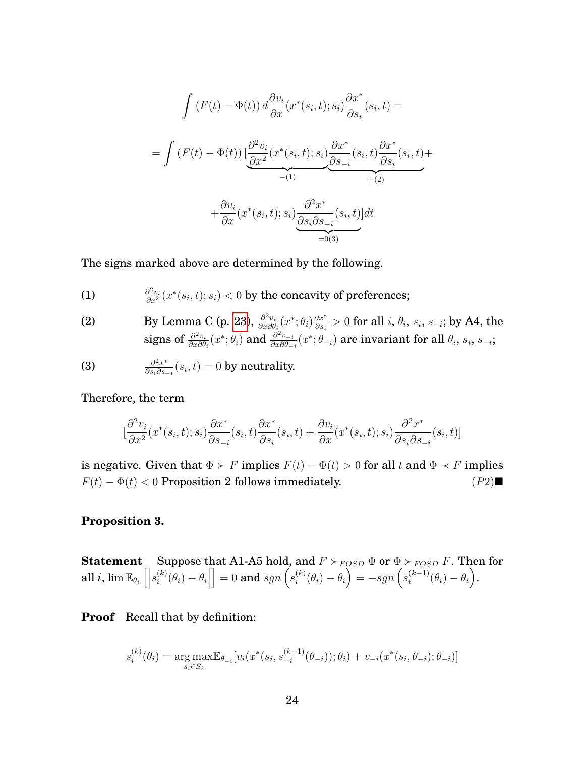$$
\int (F(t) - \Phi(t)) d\frac{\partial v_i}{\partial x}(x^*(s_i, t); s_i) \frac{\partial x^*}{\partial s_i}(s_i, t) =
$$
\n
$$
= \int (F(t) - \Phi(t)) \left[ \underbrace{\frac{\partial^2 v_i}{\partial x^2}(x^*(s_i, t); s_i)}_{-(1)} \underbrace{\frac{\partial x^*}{\partial s_{-i}}(s_i, t)}_{+(2)} \underbrace{\frac{\partial x^*}{\partial s_i}(s_i, t)}_{=(0,3)} + \underbrace{\frac{\partial v_i}{\partial x}(x^*(s_i, t); s_i)}_{=(0,3)} \underbrace{\frac{\partial^2 x^*}{\partial s_i \partial s_{-i}}(s_i, t)}_{=(0,3)}
$$

The signs marked above are determined by the following.

(1) 
$$
\frac{\partial^2 v_i}{\partial x^2}(x^*(s_i,t);s_i) < 0
$$
 by the concavity of preferences;

(2) By Lemma C (p. [23\)](#page-24-0),  $\frac{\partial^2 v_i}{\partial x \partial \theta}$  $\frac{\partial^2 v_i}{\partial x \partial \theta_i} (x^*; \theta_i) \frac{\partial x^*}{\partial s_i}$  $\frac{\partial x^*}{\partial s_i}>0$  for all  $i,$   $\theta_i,$   $s_i,$   $s_{-i};$  by A4, the signs of  $\frac{\partial^2 v_i}{\partial x \partial \theta}$  $\frac{\partial^2 v_i}{\partial x \partial \theta_i}(x^*;\theta_i)$  and  $\frac{\partial^2 v_{-i}}{\partial x \partial \theta_-}$  $\frac{\partial^2 v_{-i}}{\partial x \partial \theta_{-i}}(x^*;\theta_{-i})$  are invariant for all  $\theta_i,$   $s_i,$   $s_{-i};$ 

(3) 
$$
\frac{\partial^2 x^*}{\partial s_i \partial s_{-i}}(s_i, t) = 0
$$
 by neutrality.

Therefore, the term

$$
\left[\frac{\partial^2 v_i}{\partial x^2}(x^*(s_i,t);s_i)\frac{\partial x^*}{\partial s_{-i}}(s_i,t)\frac{\partial x^*}{\partial s_i}(s_i,t) + \frac{\partial v_i}{\partial x}(x^*(s_i,t);s_i)\frac{\partial^2 x^*}{\partial s_i \partial s_{-i}}(s_i,t)\right]
$$

is negative. Given that  $\Phi \succ F$  implies  $F(t) - \Phi(t) > 0$  for all t and  $\Phi \prec F$  implies  $F(t) - \Phi(t) < 0$  Proposition 2 follows immediately. (P2)

#### **Proposition 3.**

**Statement** Suppose that A1-A5 hold, and  $F \succ_{FOSD} \Phi$  or  $\Phi \succ_{FOSD} F$ . Then for all  $i$ ,  $\lim\mathbb{E}_{\theta_{i}}\left[ \Big\vert$  $s_i^{(k)}$  $\binom{k}{i}(\theta_i)-\theta_i$  $\big] = 0$  and  $sgn\left(s_i^{(k)}\right)$  $\theta_i^{(k)}(\theta_i) - \theta_i$  =  $-sgn(s_i^{(k-1)})$  $\binom{(k-1)}{i}(\theta_i)-\theta_i$ .

<span id="page-25-0"></span>**Proof** Recall that by definition:

$$
s_i^{(k)}(\theta_i) = \underset{s_i \in S_i}{\arg \max} \mathbb{E}_{\theta_{-i}}[v_i(x^*(s_i, s_{-i}^{(k-1)}(\theta_{-i})); \theta_i) + v_{-i}(x^*(s_i, \theta_{-i}); \theta_{-i})]
$$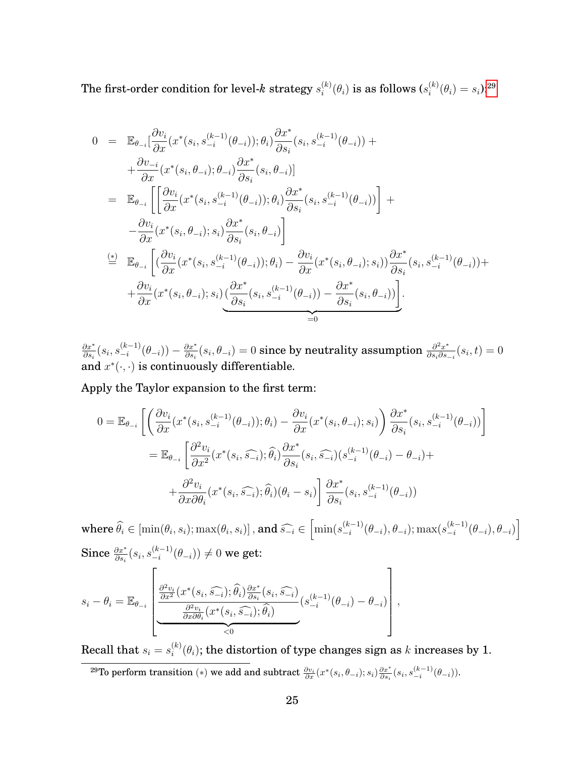The first-order condition for level- $k$  strategy  $s_i^{(k)}$  $\mathcal{C}_i^{(k)}(\theta_i)$  is as follows  $(s_i^{(k)})$  $i^{(k)}(\theta_i) = s_i$ ):<sup>[29](#page-26-0)</sup>

$$
0 = \mathbb{E}_{\theta_{-i}}\left[\frac{\partial v_{i}}{\partial x}(x^{*}(s_{i}, s_{-i}^{(k-1)}(\theta_{-i})); \theta_{i}\right] \frac{\partial x^{*}}{\partial s_{i}}(s_{i}, s_{-i}^{(k-1)}(\theta_{-i})) + + \frac{\partial v_{-i}}{\partial x}(x^{*}(s_{i}, \theta_{-i}); \theta_{-i}) \frac{\partial x^{*}}{\partial s_{i}}(s_{i}, \theta_{-i})\right] = \mathbb{E}_{\theta_{-i}}\left[\left[\frac{\partial v_{i}}{\partial x}(x^{*}(s_{i}, s_{-i}^{(k-1)}(\theta_{-i})); \theta_{i}\right] \frac{\partial x^{*}}{\partial s_{i}}(s_{i}, s_{-i}^{(k-1)}(\theta_{-i}))\right] + - \frac{\partial v_{i}}{\partial x}(x^{*}(s_{i}, \theta_{-i}); s_{i}) \frac{\partial x^{*}}{\partial s_{i}}(s_{i}, \theta_{-i})\right] \stackrel{(*)}{=} \mathbb{E}_{\theta_{-i}}\left[\left(\frac{\partial v_{i}}{\partial x}(x^{*}(s_{i}, s_{-i}^{(k-1)}(\theta_{-i})); \theta_{i}\right) - \frac{\partial v_{i}}{\partial x}(x^{*}(s_{i}, \theta_{-i}); s_{i})\right] \frac{\partial x^{*}}{\partial s_{i}}(s_{i}, s_{-i}^{(k-1)}(\theta_{-i})) + + \frac{\partial v_{i}}{\partial x}(x^{*}(s_{i}, \theta_{-i}); s_{i})\left(\frac{\partial x^{*}}{\partial s_{i}}(s_{i}, s_{-i}^{(k-1)}(\theta_{-i})) - \frac{\partial x^{*}}{\partial s_{i}}(s_{i}, \theta_{-i})\right)\right] = 0
$$

∂x<sup>∗</sup>  $\frac{\partial x^*}{\partial s_i}(s_i,s_{-i}^{(k-1)})$  $\frac{(k-1)}{-i}(\theta_{-i})) - \frac{\partial x^*}{\partial s_i}$  $\frac{\partial x^*}{\partial s_i}(s_i,\theta_{-i})=0\text{ since by neutrality assumption }\frac{\partial^2 x^*}{\partial s_i\partial s_i}$  $\frac{\partial^2 x^*}{\partial s_i \partial s_{-i}}(s_i,t)=0$ and  $x^*(\cdot, \cdot)$  is continuously differentiable.

Apply the Taylor expansion to the first term:

$$
0 = \mathbb{E}_{\theta_{-i}} \left[ \left( \frac{\partial v_i}{\partial x} (x^*(s_i, s_{-i}^{(k-1)}(\theta_{-i})); \theta_i) - \frac{\partial v_i}{\partial x} (x^*(s_i, \theta_{-i}); s_i) \right) \frac{\partial x^*}{\partial s_i} (s_i, s_{-i}^{(k-1)}(\theta_{-i})) \right]
$$
  

$$
= \mathbb{E}_{\theta_{-i}} \left[ \frac{\partial^2 v_i}{\partial x^2} (x^*(s_i, \widehat{s_{-i}}); \widehat{\theta}_i) \frac{\partial x^*}{\partial s_i} (s_i, \widehat{s_{-i}}) (s_{-i}^{(k-1)}(\theta_{-i}) - \theta_{-i}) +
$$
  

$$
+ \frac{\partial^2 v_i}{\partial x \partial \theta_i} (x^*(s_i, \widehat{s_{-i}}); \widehat{\theta}_i) (\theta_i - s_i) \right] \frac{\partial x^*}{\partial s_i} (s_i, s_{-i}^{(k-1)}(\theta_{-i}))
$$

where  $\widehat{\theta}_i \in [\min(\theta_i, s_i); \max(\theta_i, s_i)]$  , and  $\widehat{s_{-i}} \in \left[\min(s_{-i}^{(k-1)}),\min(s_{-i}^{(k-1)}), \min(s_{-i}^{(k-1)}),\min(s_{-i}^{(k-1)}), \min(s_{-i}^{(k-1)}), \min(s_{-i}^{(k-1)}), \min(s_{-i}^{(k-1)}), \min(s_{-i}^{(k-1)}), \min(s_{-i}^{(k-1)}), \min(s_{-i}^{(k-1)}), \min(s_{-i}^{(k-1)}), \min(s_{-i}^{(k-1$  $_{-i}^{(k-1)}(\theta_{-i}), \theta_{-i}); \max(s_{-i}^{(k-1)})$  $\left[\begin{smallmatrix} (k-1) \ -i \end{smallmatrix}\right] (\theta_{-i}), \theta_{-i})$ Since  $\frac{\partial x^*}{\partial s_i}(s_i,s_{-i}^{(k-1)})$  $\binom{(k-1)}{-i}(\theta_{-i})\}\neq 0$  we get:

$$
s_i - \theta_i = \mathbb{E}_{\theta_{-i}} \left[ \frac{\frac{\partial^2 v_i}{\partial x^2} (x^*(s_i, \widehat{s_{-i}}); \widehat{\theta}_i) \frac{\partial x^*}{\partial s_i}(s_i, \widehat{s_{-i}})}{\frac{\partial^2 v_i}{\partial x \partial \theta_i} (x^*(s_i, \widehat{s_{-i}}); \widehat{\theta}_i)} (s_{-i}^{(k-1)}(\theta_{-i}) - \theta_{-i}) \right],
$$

Recall that  $s_i = s_i^{(k)}$  $\mathcal{L}^{(k)}_{i}(\theta_{i});$  the distortion of type changes sign as  $k$  increases by 1.

<span id="page-26-0"></span> $^{29}{\rm To}$  perform transition  $(*)$  we add and subtract  $\frac{\partial v_i}{\partial x}(x^*(s_i,\theta_{-i});s_i)\frac{\partial x^*}{\partial s_i}(s_i,s_{-i}^{(k-1)}(\theta_{-i})).$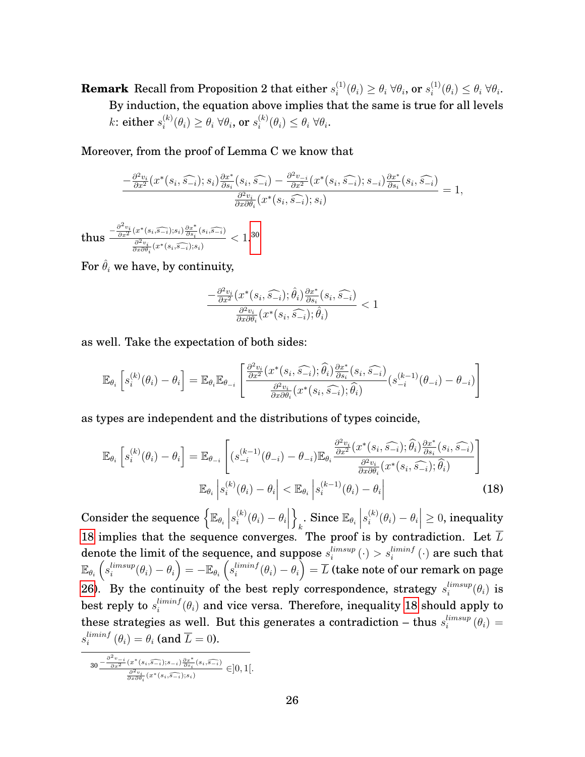**Remark** Recall from Proposition 2 that either  $s_i^{(1)}$  $\theta_i^{(1)}(\theta_i) \geq \theta_i \ \forall \theta_i, \, \textbf{or} \, \, s_i^{(1)}$  $i^{(1)}(\theta_i) \leq \theta_i \,\forall \theta_i.$ By induction, the equation above implies that the same is true for all levels k: either  $s_i^{(k)}$  $\theta_i^{(k)}(\theta_i) \geq \theta_i \; \forall \theta_i, \text{ or } s_i^{(k)}$  $\theta_i^{(\kappa)}(\theta_i) \leq \theta_i \,\forall \theta_i.$ 

Moreover, from the proof of Lemma C we know that

$$
\frac{-\frac{\partial^2 v_i}{\partial x^2}(x^*(s_i, \widehat{s_{-i}}); s_i)\frac{\partial x^*}{\partial s_i}(s_i, \widehat{s_{-i}}) - \frac{\partial^2 v_{-i}}{\partial x^2}(x^*(s_i, \widehat{s_{-i}}); s_{-i})\frac{\partial x^*}{\partial s_i}(s_i, \widehat{s_{-i}})}{\frac{\partial^2 v_i}{\partial x \partial \theta_i}(x^*(s_i, \widehat{s_{-i}}); s_i)} = 1,
$$

 ${\rm thus}$   $\frac{-\frac{\partial^2 v_i}{\partial x^2}(x^*(s_i,\widehat{s_{-i}});s_i)\frac{\partial x^*}{\partial s_i}}{\frac{\partial^2 v_i}{\partial s_i}}$  $\frac{\left(x^*(s_i,\widehat{s_{-i}});s_i\right)\frac{\partial x}{\partial s_i}(s_i,\widehat{s_{-i}})}{\frac{\partial^2 v_i}{\partial x\partial \theta_i}(x^*(s_i,\widehat{s_{-i}});s_i)}$  $< 1.30$  $< 1.30$ 

For  $\hat{\theta}_i$  we have, by continuity,

$$
\frac{-\frac{\partial^2 v_i}{\partial x^2} (x^*(s_i, \widehat{s_{-i}}); \widehat{\theta}_i) \frac{\partial x^*}{\partial s_i}(s_i, \widehat{s_{-i}})}{\frac{\partial^2 v_i}{\partial x \partial \theta_i} (x^*(s_i, \widehat{s_{-i}}); \widehat{\theta}_i)} < 1
$$

as well. Take the expectation of both sides:

$$
\mathbb{E}_{\theta_i}\left[s_i^{(k)}(\theta_i) - \theta_i\right] = \mathbb{E}_{\theta_i}\mathbb{E}_{\theta_{-i}}\left[\frac{\frac{\partial^2 v_i}{\partial x^2}(x^*(s_i, \widehat{s_{-i}}); \widehat{\theta}_i)\frac{\partial x^*}{\partial s_i}(s_i, \widehat{s_{-i}})}{\frac{\partial^2 v_i}{\partial x \partial \theta_i}(x^*(s_i, \widehat{s_{-i}}); \widehat{\theta}_i)}(s_{-i}^{(k-1)}(\theta_{-i}) - \theta_{-i})\right]
$$

as types are independent and the distributions of types coincide,

<span id="page-27-1"></span>
$$
\mathbb{E}_{\theta_i} \left[ s_i^{(k)}(\theta_i) - \theta_i \right] = \mathbb{E}_{\theta_{-i}} \left[ (s_{-i}^{(k-1)}(\theta_{-i}) - \theta_{-i}) \mathbb{E}_{\theta_i} \frac{\frac{\partial^2 v_i}{\partial x^2} (x^*(s_i, \widehat{s_{-i}}); \widehat{\theta}_i) \frac{\partial x^*}{\partial s_i}(s_i, \widehat{s_{-i}})}{\frac{\partial^2 v_i}{\partial x \partial \theta_i} (x^*(s_i, \widehat{s_{-i}}); \widehat{\theta}_i)} \right]
$$
\n
$$
\mathbb{E}_{\theta_i} \left| s_i^{(k)}(\theta_i) - \theta_i \right| < \mathbb{E}_{\theta_i} \left| s_i^{(k-1)}(\theta_i) - \theta_i \right| \tag{18}
$$

 $\begin{aligned} \text { Consider the sequence } \Big\{ \mathbb{E}_{\theta_i} \Big| \end{aligned}$  $s_i^{(k)}$  $\binom{k}{i}(\theta_i)-\theta_i$  $\mathcal{L}$ . Since  $\mathbb{E}_{\theta_i}$  $s_i^{(k)}$  $\left| \begin{array}{l} \left( k\right) \left( \theta_{i}\right) -\theta_{i}\right| \geq 0 \text{, inequality} \ \hline \end{array}%$ [18](#page-27-1) implies that the sequence converges. The proof is by contradiction. Let  $\overline{L}$ denote the limit of the sequence, and suppose  $s_i^{limsup}$  $\mathcal{C}^{limsup}_{i} \left( \cdot \right) > s^{liminf}_{i} \left( \cdot \right)$  are such that  $\mathbb{E}_{\theta_i}\left(s_i^{limsup}\right)$  $\begin{array}{c} \limsup \limits_i (\theta_i) - \theta_i \end{array} \bigg ) = - \mathbb{E}_{\theta_i} \left ( s_i^{limit} \right )$  $\frac{liminf}{i}(\theta_i)-\theta_i\Big)=\overline{L}$  (take note of our remark on page [26\)](#page-25-0). By the continuity of the best reply correspondence, strategy  $s_i^{limsup}$  $_{i}^{limsup}(\theta_{i})$  is  $\mathrm{best} \ \mathrm{reply} \ \mathrm{to} \ s_i^{limit}$  $\theta_i^{lmmf}(\theta_i)$  and vice versa. Therefore, inequality  $18$  should apply to these strategies as well. But this generates a contradiction – thus  $s_i^{limsup}$  $\int_{i}^{limsup} (\theta_i) =$  $s_i^{limit}$  $\binom{limit}{i}$   $(\theta_i) = \theta_i$  (and  $L = 0$ ).

<span id="page-27-0"></span>
$$
30 - \frac{\frac{\partial^2 v_{-i}}{\partial x^2}(x^*(s_i, \widehat{s_{-i}}); s_{-i})\frac{\partial x^*}{\partial s_i}(s_i, \widehat{s_{-i}})}{\frac{\partial^2 v_i}{\partial x \partial \theta_i}(x^*(s_i, \widehat{s_{-i}}); s_i)} \in ]0, 1[.
$$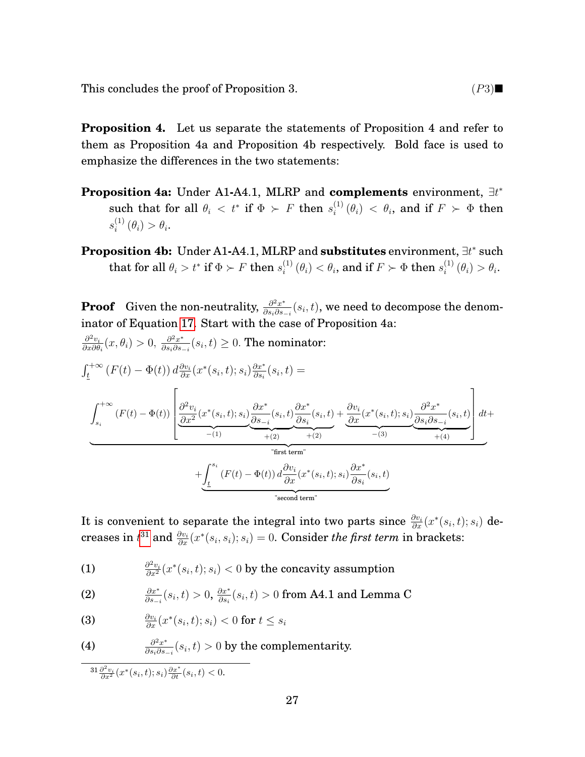This concludes the proof of Proposition 3.  $(P3)$ 

**Proposition 4.** Let us separate the statements of Proposition 4 and refer to them as Proposition 4a and Proposition 4b respectively. Bold face is used to emphasize the differences in the two statements:

- **Proposition 4a:** Under A1**-**A4.1, MLRP and **complements** environment, ∃t ∗ such that for all  $\theta_i \, < \, t^* \text{ if } \Phi \, > \, F \text{ then } s_i^{(1)}$  $\int_{i}^{(1)} (\theta_i) \, < \, \theta_i$ , and if  $F \, \succ \, \Phi$  then  $s_i^{(1)}$  $i^{(1)}(\theta_i) > \theta_i.$
- **Proposition 4b:** Under A1-A4.1, MLRP and **substitutes** environment,  $\exists t^*$  such  $\text{that for all } \theta_i > t^* \text{ if } \Phi \succ F \text{ then } s_i^{(1)}$  $\theta_i^{(1)}\left( \theta_i \right) < \theta_i$ , and if  $F \succ \Phi$  then  $s_i^{(1)}$  $i^{(1)}(\theta_i) > \theta_i.$

**Proof** Given the non-neutrality,  $\frac{\partial^2 x^*}{\partial x \cdot \partial y}$  $\frac{\partial^2 x^*}{\partial s_i \partial s_{-i}}(s_i,t)$ , we need to decompose the denominator of Equation [17.](#page-23-0) Start with the case of Proposition 4a:

$$
\frac{\partial^2 v_i}{\partial x \partial \theta_i}(x, \theta_i) > 0, \frac{\partial^2 x^*}{\partial s_i \partial s_{-i}}(s_i, t) \ge 0. \text{ The nominator:}
$$
\n
$$
\int_{\underline{t}}^{+\infty} \left( F(t) - \Phi(t) \right) d\frac{\partial v_i}{\partial x}(x^*(s_i, t); s_i) \frac{\partial x^*}{\partial s_i}(s_i, t) =
$$
\n
$$
\int_{s_i}^{+\infty} \left( F(t) - \Phi(t) \right) \left[ \underbrace{\frac{\partial^2 v_i}{\partial x^2}(x^*(s_i, t); s_i)}_{-(1)} \underbrace{\frac{\partial x^*}{\partial s_{-i}}(s_i, t)}_{+(2)} \underbrace{\frac{\partial x^*}{\partial s_i}(s_i, t)}_{+(2)} + \underbrace{\frac{\partial v_i}{\partial x}(x^*(s_i, t); s_i)}_{-(3)} \underbrace{\frac{\partial^2 x^*}{\partial s_i \partial s_{-i}}(s_i, t)}_{+(4)} \right] dt +
$$
\n
$$
+ \underbrace{\int_{\underline{t}}^{s_i} \left( F(t) - \Phi(t) \right) d\frac{\partial v_i}{\partial x}(x^*(s_i, t); s_i) \frac{\partial x^*}{\partial s_i}(s_i, t)}_{\text{Test term"}}
$$
\n
$$
+ \underbrace{\int_{\underline{t}}^{s_i} \left( F(t) - \Phi(t) \right) d\frac{\partial v_i}{\partial x}(x^*(s_i, t); s_i) \frac{\partial x^*}{\partial s_i}(s_i, t)}_{\text{Second term"}}
$$

It is convenient to separate the integral into two parts since  $\frac{\partial v_i}{\partial x}(x^*(s_i,t);s_i)$  decreases in  $t^{31}$  $t^{31}$  $t^{31}$  and  $\frac{\partial v_i}{\partial x}(x^*(s_i, s_i); s_i) = 0$ . Consider *the first term* in brackets:

(1) 
$$
\frac{\partial^2 v_i}{\partial x^2}(x^*(s_i,t);s_i) < 0
$$
 by the concavity assumption

(2) 
$$
\frac{\partial x^*}{\partial s_{-i}}(s_i, t) > 0, \frac{\partial x^*}{\partial s_i}(s_i, t) > 0 \text{ from A4.1 and Lemma C}
$$

(3) 
$$
\frac{\partial v_i}{\partial x}(x^*(s_i,t);s_i) < 0 \text{ for } t \leq s_i
$$

(4) 
$$
\frac{\partial^2 x^*}{\partial s_i \partial s_{-i}}(s_i, t) > 0
$$
 by the complementary.

<span id="page-28-0"></span> $31 \frac{\partial^2 v_i}{\partial x^2}(x^*(s_i,t); s_i) \frac{\partial x^*}{\partial t}(s_i,t) < 0.$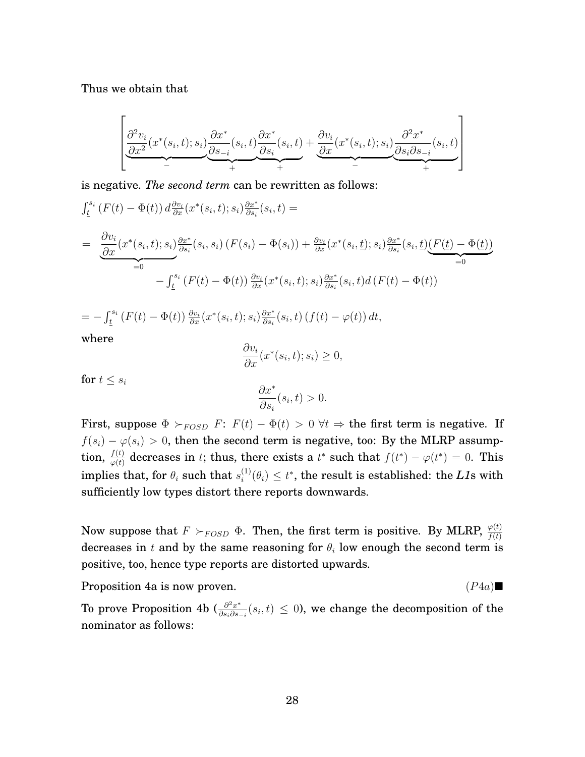Thus we obtain that

$$
\left[ \underbrace{\frac{\partial^2 v_i}{\partial x^2}(x^*(s_i,t);s_i)}_{-} \underbrace{\frac{\partial x^*}{\partial s_{-i}}(s_i,t)}_{+} \underbrace{\frac{\partial x^*}{\partial s_i}(s_i,t)}_{+} + \underbrace{\frac{\partial v_i}{\partial x}(x^*(s_i,t);s_i)}_{-} \underbrace{\frac{\partial^2 x^*}{\partial s_i \partial s_{-i}}(s_i,t)}_{+} \right]
$$

is negative. *The second term* can be rewritten as follows:

$$
\int_{\underline{t}}^{s_i} (F(t) - \Phi(t)) d\frac{\partial v_i}{\partial x}(x^*(s_i, t); s_i) \frac{\partial x^*}{\partial s_i}(s_i, t) =
$$
\n
$$
= \underbrace{\frac{\partial v_i}{\partial x}(x^*(s_i, t); s_i) \frac{\partial x^*}{\partial s_i}(s_i, s_i) (F(s_i) - \Phi(s_i)) + \frac{\partial v_i}{\partial x}(x^*(s_i, t); s_i) \frac{\partial x^*}{\partial s_i}(s_i, t)}_{=0} \underline{(F(t) - \Phi(t))} - \int_{\underline{t}}^{s_i} (F(t) - \Phi(t)) \frac{\partial v_i}{\partial x}(x^*(s_i, t); s_i) \frac{\partial x^*}{\partial s_i}(s_i, t) d(F(t) - \Phi(t))
$$

$$
= -\int_{\underline{t}}^{s_i} \left( F(t) - \Phi(t) \right) \frac{\partial v_i}{\partial x} (x^*(s_i, t); s_i) \frac{\partial x^*}{\partial s_i}(s_i, t) \left( f(t) - \varphi(t) \right) dt,
$$
  
where

where

$$
\frac{\partial v_i}{\partial x}(x^*(s_i, t); s_i) \ge 0,
$$

for  $t \leq s_i$ 

$$
\frac{\partial x^*}{\partial s_i}(s_i,t)>0.
$$

First, suppose  $\Phi \succ_{FOSD} F: F(t) - \Phi(t) > 0 \ \forall t \Rightarrow$  the first term is negative. If  $f(s_i) - \varphi(s_i) > 0$ , then the second term is negative, too: By the MLRP assumption,  $\frac{f(t)}{\varphi(t)}$  decreases in t; thus, there exists a t\* such that  $f(t^*) - \varphi(t^*) = 0$ . This implies that, for  $\theta_i$  such that  $s_i^{(1)}$  $\mathcal{E}_i^{(1)}(\theta_i) \leq t^*$ , the result is established: the *L1*s with sufficiently low types distort there reports downwards.

Now suppose that  $F \succ_{FOSD} \Phi$ . Then, the first term is positive. By MLRP,  $\frac{\varphi(t)}{f(t)}$ decreases in t and by the same reasoning for  $\theta_i$  low enough the second term is positive, too, hence type reports are distorted upwards.

Proposition 4a is now proven.  $(P4a)$ 

To prove Proposition 4b ( $\frac{\partial^2 x^*}{\partial s \cdot \partial s}$  $\frac{\partial^2 x^*}{\partial s_i \partial s_{-i}}(s_i, t) \leq 0$ , we change the decomposition of the nominator as follows: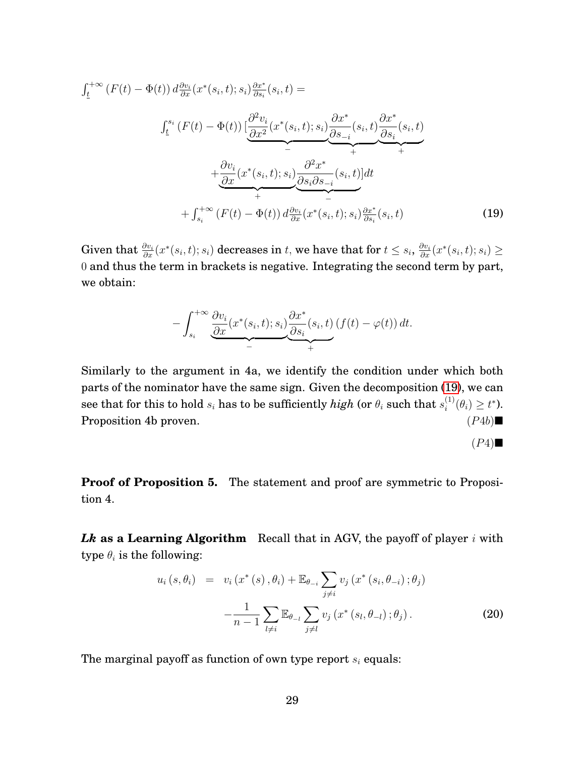<span id="page-30-0"></span>
$$
\int_{\underline{t}}^{+\infty} \left( F(t) - \Phi(t) \right) d\frac{\partial v_i}{\partial x} (x^*(s_i, t); s_i) \frac{\partial x^*}{\partial s_i}(s_i, t) =
$$
\n
$$
\int_{\underline{t}}^{s_i} \left( F(t) - \Phi(t) \right) \left[ \underbrace{\frac{\partial^2 v_i}{\partial x^2} (x^*(s_i, t); s_i)}_{-} \underbrace{\frac{\partial x^*}{\partial s_{-i}} (s_i, t)}_{+} \underbrace{\frac{\partial x^*}{\partial s_i}(s_i, t)}_{+} + \underbrace{\frac{\partial v_i}{\partial x} (x^*(s_i, t); s_i)}_{+} \underbrace{\frac{\partial^2 x^*}{\partial s_i \partial s_{-i}} (s_i, t)}_{-} \right) dt
$$
\n
$$
+ \int_{s_i}^{+\infty} \left( F(t) - \Phi(t) \right) d\frac{\partial v_i}{\partial x} (x^*(s_i, t); s_i) \frac{\partial x^*}{\partial s_i}(s_i, t) \tag{19}
$$

 $\textbf{Given that } \frac{\partial v_i}{\partial x}(x^*(s_i,t);s_i) \textbf{ decreases in } t, \textbf{ we have that for } t \leq s_i, \frac{\partial v_i}{\partial x}(x^*(s_i,t);s_i) \geq 0.$ 0 and thus the term in brackets is negative. Integrating the second term by part, we obtain:

$$
-\int_{s_i}^{+\infty} \underbrace{\frac{\partial v_i}{\partial x}(x^*(s_i,t);s_i)}_{-} \underbrace{\frac{\partial x^*}{\partial s_i}(s_i,t)}_{+} (f(t) - \varphi(t)) dt.
$$

Similarly to the argument in 4a, we identify the condition under which both parts of the nominator have the same sign. Given the decomposition [\(19\)](#page-30-0), we can see that for this to hold  $s_i$  has to be sufficiently  $high$  (or  $\theta_i$  such that  $s_i^{(1)}$  $i^{(1)}(\theta_i) \geq t^*$ ). Proposition 4b proven.  $(P4b)$ 

$$
(P4) \blacksquare
$$

**Proof of Proposition 5.** The statement and proof are symmetric to Proposition 4.

*Lk* **as a Learning Algorithm** Recall that in AGV, the payoff of player i with type  $\theta_i$  is the following:

<span id="page-30-1"></span>
$$
u_{i}(s, \theta_{i}) = v_{i}(x^{*}(s), \theta_{i}) + \mathbb{E}_{\theta_{-i}} \sum_{j \neq i} v_{j}(x^{*}(s_{i}, \theta_{-i}); \theta_{j}) - \frac{1}{n-1} \sum_{l \neq i} \mathbb{E}_{\theta_{-l}} \sum_{j \neq l} v_{j}(x^{*}(s_{l}, \theta_{-l}); \theta_{j}).
$$
\n(20)

The marginal payoff as function of own type report  $s_i$  equals: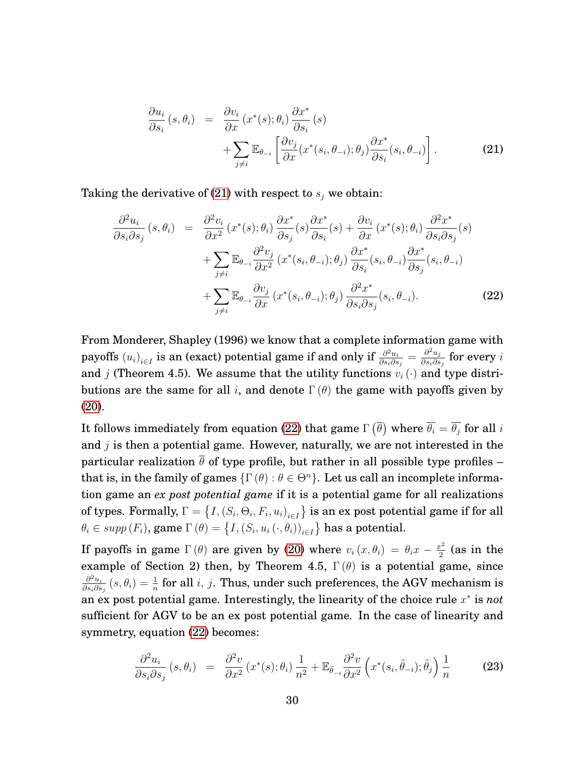<span id="page-31-0"></span>
$$
\frac{\partial u_i}{\partial s_i}(s, \theta_i) = \frac{\partial v_i}{\partial x}(x^*(s); \theta_i) \frac{\partial x^*}{\partial s_i}(s) \n+ \sum_{j \neq i} \mathbb{E}_{\theta_{-i}} \left[ \frac{\partial v_j}{\partial x}(x^*(s_i, \theta_{-i}); \theta_j) \frac{\partial x^*}{\partial s_i}(s_i, \theta_{-i}) \right].
$$
\n(21)

Taking the derivative of [\(21\)](#page-31-0) with respect to  $s_j$  we obtain:

<span id="page-31-1"></span>
$$
\frac{\partial^2 u_i}{\partial s_i \partial s_j} (s, \theta_i) = \frac{\partial^2 v_i}{\partial x^2} (x^*(s); \theta_i) \frac{\partial x^*}{\partial s_j} (s) \frac{\partial x^*}{\partial s_i} (s) + \frac{\partial v_i}{\partial x} (x^*(s); \theta_i) \frac{\partial^2 x^*}{\partial s_i \partial s_j} (s) \n+ \sum_{j \neq i} \mathbb{E}_{\theta_{-i}} \frac{\partial^2 v_j}{\partial x^2} (x^*(s_i, \theta_{-i}); \theta_j) \frac{\partial x^*}{\partial s_i} (s_i, \theta_{-i}) \frac{\partial x^*}{\partial s_j} (s_i, \theta_{-i}) \n+ \sum_{j \neq i} \mathbb{E}_{\theta_{-i}} \frac{\partial v_j}{\partial x} (x^*(s_i, \theta_{-i}); \theta_j) \frac{\partial^2 x^*}{\partial s_i \partial s_j} (s_i, \theta_{-i}).
$$
\n(22)

From Monderer, Shapley (1996) we know that a complete information game with payoffs  $(u_i)_{i\in I}$  is an (exact) potential game if and only if  $\frac{\partial^2 u_i}{\partial s_i\partial s}$  $\frac{\partial^2 u_i}{\partial s_i \partial s_j} = \frac{\partial^2 u_j}{\partial s_i \partial s}$  $\frac{\partial^2 u_j}{\partial s_i \partial s_j}$  for every  $i$ and j (Theorem 4.5). We assume that the utility functions  $v_i(\cdot)$  and type distributions are the same for all i, and denote  $\Gamma(\theta)$  the game with payoffs given by [\(20\)](#page-30-1).

It follows immediately from equation [\(22\)](#page-31-1) that game  $\Gamma\left(\overline{\theta}\right)$  where  $\overline{\theta_i}=\overline{\theta_j}$  for all  $i$ and  $j$  is then a potential game. However, naturally, we are not interested in the particular realization  $\bar{\theta}$  of type profile, but rather in all possible type profiles – that is, in the family of games  $\{\Gamma(\theta): \theta \in \Theta^n\}$ . Let us call an incomplete information game an *ex post potential game* if it is a potential game for all realizations of types. Formally,  $\Gamma=\big\{I, (S_i,\Theta_i,F_i,u_i)_{i\in I}\big\}$  is an ex post potential game if for all  $\theta_i \in supp\left(F_i\right)$ , game  $\Gamma\left(\theta\right) = \big\{I,\left(S_i,u_i\left(\cdot,\theta_i\right)\right)_{i\in I}\big\}$  has a potential.

If payoffs in game  $\Gamma(\theta)$  are given by [\(20\)](#page-30-1) where  $v_i(x, \theta_i) = \theta_i x - \frac{x^2}{2}$  $\frac{c^2}{2}$  (as in the example of Section 2) then, by Theorem 4.5,  $\Gamma(\theta)$  is a potential game, since  $\partial^2 u_i$  $\frac{\partial^2 u_i}{\partial s_i\partial s_j}\left(s,\theta_i\right)=\frac{1}{n}$  for all  $i,\,j.$  Thus, under such preferences, the AGV mechanism is an ex post potential game. Interestingly, the linearity of the choice rule x ∗ is *not* sufficient for AGV to be an ex post potential game. In the case of linearity and symmetry, equation [\(22\)](#page-31-1) becomes:

$$
\frac{\partial^2 u_i}{\partial s_i \partial s_j} (s, \theta_i) = \frac{\partial^2 v}{\partial x^2} (x^*(s); \theta_i) \frac{1}{n^2} + \mathbb{E}_{\tilde{\theta}_{-i}} \frac{\partial^2 v}{\partial x^2} \left( x^*(s_i, \tilde{\theta}_{-i}); \tilde{\theta}_j \right) \frac{1}{n}
$$
(23)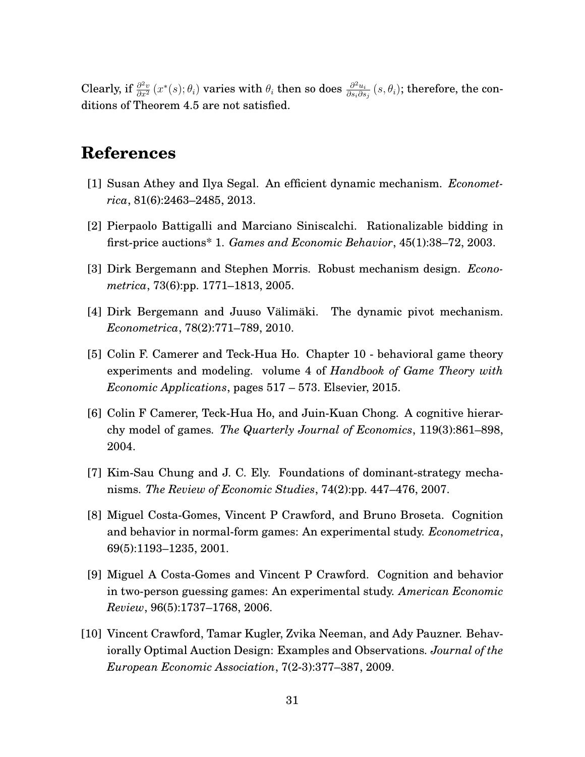Clearly, if  $\frac{\partial^2 v}{\partial x^2}(x^*(s);\theta_i)$  varies with  $\theta_i$  then so does  $\frac{\partial^2 u_i}{\partial s_i \partial s}$  $\frac{\partial^2 u_i}{\partial s_i\partial s_j}\left(s,\theta_i\right)$ ; therefore, the conditions of Theorem 4.5 are not satisfied.

## **References**

- [1] Susan Athey and Ilya Segal. An efficient dynamic mechanism. *Econometrica*, 81(6):2463–2485, 2013.
- [2] Pierpaolo Battigalli and Marciano Siniscalchi. Rationalizable bidding in first-price auctions\* 1. *Games and Economic Behavior*, 45(1):38–72, 2003.
- [3] Dirk Bergemann and Stephen Morris. Robust mechanism design. *Econometrica*, 73(6):pp. 1771–1813, 2005.
- [4] Dirk Bergemann and Juuso Välimäki. The dynamic pivot mechanism. *Econometrica*, 78(2):771–789, 2010.
- [5] Colin F. Camerer and Teck-Hua Ho. Chapter 10 behavioral game theory experiments and modeling. volume 4 of *Handbook of Game Theory with Economic Applications*, pages 517 – 573. Elsevier, 2015.
- [6] Colin F Camerer, Teck-Hua Ho, and Juin-Kuan Chong. A cognitive hierarchy model of games. *The Quarterly Journal of Economics*, 119(3):861–898, 2004.
- [7] Kim-Sau Chung and J. C. Ely. Foundations of dominant-strategy mechanisms. *The Review of Economic Studies*, 74(2):pp. 447–476, 2007.
- [8] Miguel Costa-Gomes, Vincent P Crawford, and Bruno Broseta. Cognition and behavior in normal-form games: An experimental study. *Econometrica*, 69(5):1193–1235, 2001.
- [9] Miguel A Costa-Gomes and Vincent P Crawford. Cognition and behavior in two-person guessing games: An experimental study. *American Economic Review*, 96(5):1737–1768, 2006.
- [10] Vincent Crawford, Tamar Kugler, Zvika Neeman, and Ady Pauzner. Behaviorally Optimal Auction Design: Examples and Observations. *Journal of the European Economic Association*, 7(2-3):377–387, 2009.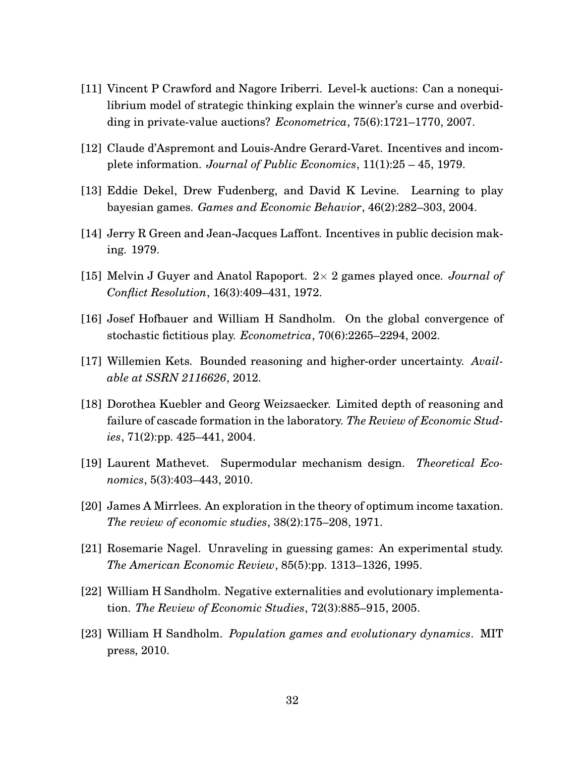- [11] Vincent P Crawford and Nagore Iriberri. Level-k auctions: Can a nonequilibrium model of strategic thinking explain the winner's curse and overbidding in private-value auctions? *Econometrica*, 75(6):1721–1770, 2007.
- [12] Claude d'Aspremont and Louis-Andre Gerard-Varet. Incentives and incomplete information. *Journal of Public Economics*, 11(1):25 – 45, 1979.
- [13] Eddie Dekel, Drew Fudenberg, and David K Levine. Learning to play bayesian games. *Games and Economic Behavior*, 46(2):282–303, 2004.
- [14] Jerry R Green and Jean-Jacques Laffont. Incentives in public decision making. 1979.
- [15] Melvin J Guyer and Anatol Rapoport. 2× 2 games played once. *Journal of Conflict Resolution*, 16(3):409–431, 1972.
- [16] Josef Hofbauer and William H Sandholm. On the global convergence of stochastic fictitious play. *Econometrica*, 70(6):2265–2294, 2002.
- [17] Willemien Kets. Bounded reasoning and higher-order uncertainty. *Available at SSRN 2116626*, 2012.
- [18] Dorothea Kuebler and Georg Weizsaecker. Limited depth of reasoning and failure of cascade formation in the laboratory. *The Review of Economic Studies*, 71(2):pp. 425–441, 2004.
- [19] Laurent Mathevet. Supermodular mechanism design. *Theoretical Economics*, 5(3):403–443, 2010.
- [20] James A Mirrlees. An exploration in the theory of optimum income taxation. *The review of economic studies*, 38(2):175–208, 1971.
- [21] Rosemarie Nagel. Unraveling in guessing games: An experimental study. *The American Economic Review*, 85(5):pp. 1313–1326, 1995.
- [22] William H Sandholm. Negative externalities and evolutionary implementation. *The Review of Economic Studies*, 72(3):885–915, 2005.
- [23] William H Sandholm. *Population games and evolutionary dynamics*. MIT press, 2010.